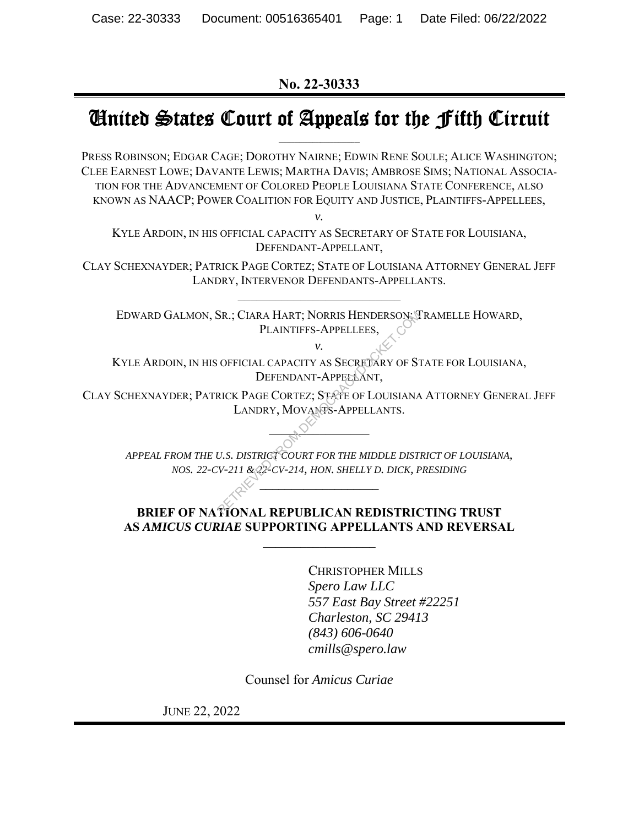**No. 22-30333** 

# United States Court of Appeals for the Fifth Circuit

PRESS ROBINSON; EDGAR CAGE; DOROTHY NAIRNE; EDWIN RENE SOULE; ALICE WASHINGTON; CLEE EARNEST LOWE; DAVANTE LEWIS; MARTHA DAVIS; AMBROSE SIMS; NATIONAL ASSOCIA-TION FOR THE ADVANCEMENT OF COLORED PEOPLE LOUISIANA STATE CONFERENCE, ALSO KNOWN AS NAACP; POWER COALITION FOR EQUITY AND JUSTICE, PLAINTIFFS-APPELLEES,

*v.* 

KYLE ARDOIN, IN HIS OFFICIAL CAPACITY AS SECRETARY OF STATE FOR LOUISIANA, DEFENDANT-APPELLANT,

CLAY SCHEXNAYDER; PATRICK PAGE CORTEZ; STATE OF LOUISIANA ATTORNEY GENERAL JEFF LANDRY, INTERVENOR DEFENDANTS-APPELLANTS.

EDWARD GALMON, SR.; CIARA HART; NORRIS HENDERSON; TRAMELLE HOWARD, PLAINTIFFS-APPELLEES,

*v.* 

KYLE ARDOIN, IN HIS OFFICIAL CAPACITY AS SECRETARY OF STATE FOR LOUISIANA, DEFENDANT-APPELLANT, SR.; CIARA HART; NORRIS HENDERSON; THE PLAINTIFFS-APPELLEES,<br>
PLAINTIFFS-APPELLEES,<br>
V.<br>
OFFICIAL CAPACITY AS SECRETARY OF ST<br>
DEFENDANT-APPELLANT,<br>
RICK PAGE CORTEZ; STATE OF LOUISIANA<br>
LANDRY, MOVANTS-APPELLANTS.<br>
U.S. D

CLAY SCHEXNAYDER; PATRICK PAGE CORTEZ; STATE OF LOUISIANA ATTORNEY GENERAL JEFF LANDRY, MOVANTS-APPELLANTS.

 $\sim$ 

*APPEAL FROM THE U.S. DISTRICT COURT FOR THE MIDDLE DISTRICT OF LOUISIANA, NOS. 22-CV-211 & 22-CV-214, HON. SHELLY D. DICK, PRESIDING*

**\_\_\_\_\_\_\_\_\_\_\_\_\_\_\_\_\_\_\_** 

#### **BRIEF OF NATIONAL REPUBLICAN REDISTRICTING TRUST AS** *AMICUS CURIAE* **SUPPORTING APPELLANTS AND REVERSAL**

**\_\_\_\_\_\_\_\_\_\_\_\_\_\_\_\_\_\_** 

CHRISTOPHER MILLS *Spero Law LLC 557 East Bay Street #22251 Charleston, SC 29413 (843) 606-0640 cmills@spero.law* 

Counsel for *Amicus Curiae* 

JUNE 22, 2022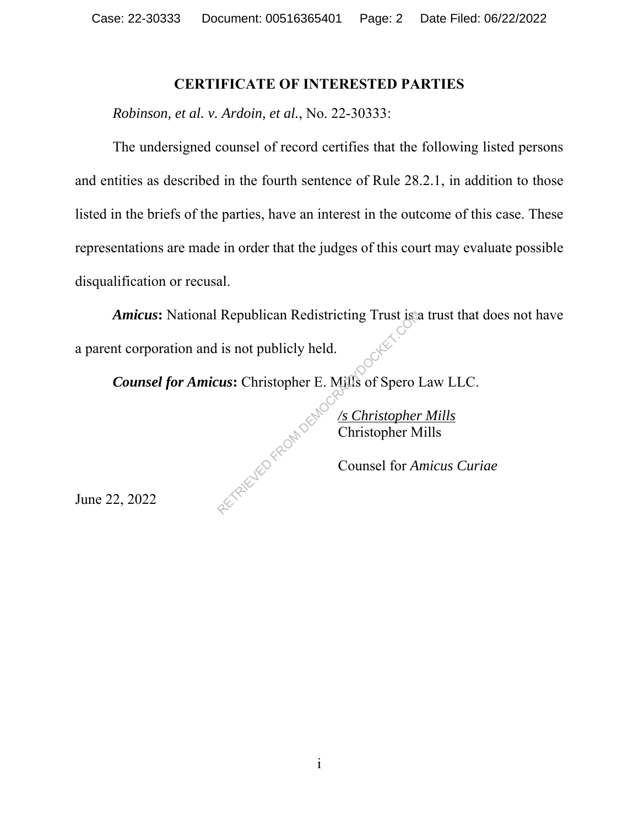#### **CERTIFICATE OF INTERESTED PARTIES**

*Robinson, et al. v. Ardoin, et al.*, No. 22-30333:

The undersigned counsel of record certifies that the following listed persons and entities as described in the fourth sentence of Rule 28.2.1, in addition to those listed in the briefs of the parties, have an interest in the outcome of this case. These representations are made in order that the judges of this court may evaluate possible disqualification or recusal.

*Amicus***:** National Republican Redistricting Trust is a trust that does not have a parent corporation and is not publicly held.

*Counsel for Amicus***:** Christopher E. Mills of Spero Law LLC. RETRIEVED FROM DEMO

*/s Christopher Mills* Christopher Mills

Counsel for *Amicus Curiae*

June 22, 2022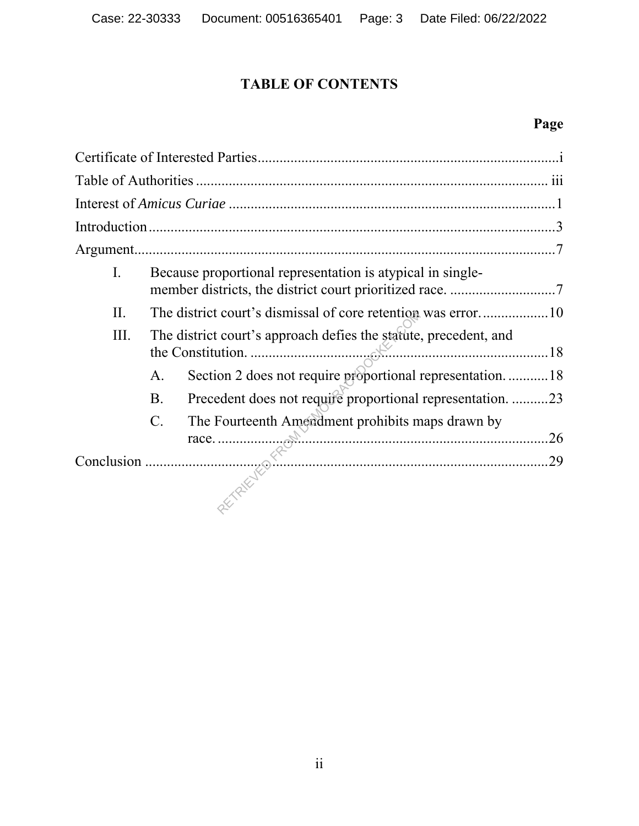## **TABLE OF CONTENTS**

## **Page**

| Ι.  |                                                                  | Because proportional representation is atypical in single-                                                                                                                                                                                                                                    |     |  |
|-----|------------------------------------------------------------------|-----------------------------------------------------------------------------------------------------------------------------------------------------------------------------------------------------------------------------------------------------------------------------------------------|-----|--|
| II. |                                                                  |                                                                                                                                                                                                                                                                                               |     |  |
| Ш.  | The district court's approach defies the statute, precedent, and |                                                                                                                                                                                                                                                                                               |     |  |
|     | A.                                                               | Section 2 does not require proportional representation18                                                                                                                                                                                                                                      |     |  |
|     | B.                                                               | Precedent does not require proportional representation. 23                                                                                                                                                                                                                                    |     |  |
|     | $C$ .                                                            | The Fourteenth Amendment prohibits maps drawn by                                                                                                                                                                                                                                              | .26 |  |
|     |                                                                  | $\frac{1}{2}$ and $\frac{1}{2}$ and $\frac{1}{2}$ and $\frac{1}{2}$ and $\frac{1}{2}$ and $\frac{1}{2}$ and $\frac{1}{2}$ and $\frac{1}{2}$ and $\frac{1}{2}$ and $\frac{1}{2}$ and $\frac{1}{2}$ and $\frac{1}{2}$ and $\frac{1}{2}$ and $\frac{1}{2}$ and $\frac{1}{2}$ and $\frac{1}{2}$ a | .29 |  |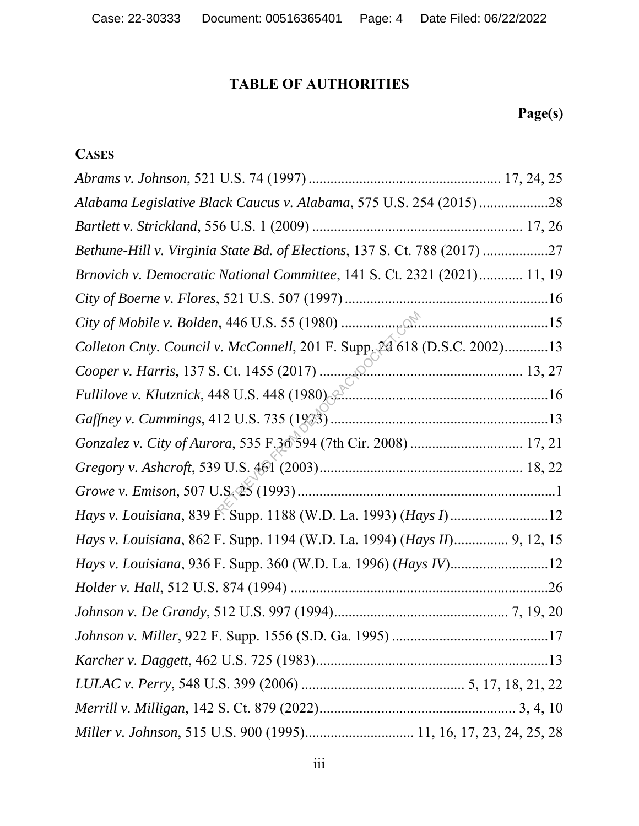## **TABLE OF AUTHORITIES**

## **Page(s)**

## **CASES**

| Alabama Legislative Black Caucus v. Alabama, 575 U.S. 254 (2015)28        |  |
|---------------------------------------------------------------------------|--|
|                                                                           |  |
| Bethune-Hill v. Virginia State Bd. of Elections, 137 S. Ct. 788 (2017) 27 |  |
| Brnovich v. Democratic National Committee, 141 S. Ct. 2321 (2021) 11, 19  |  |
|                                                                           |  |
|                                                                           |  |
| Colleton Cnty. Council v. McConnell, 201 F. Supp. 2d 618 (D.S.C. 2002)13  |  |
|                                                                           |  |
| Fullilove v. Klutznick, 448 U.S. 448 (1980)                               |  |
|                                                                           |  |
|                                                                           |  |
|                                                                           |  |
|                                                                           |  |
|                                                                           |  |
| Hays v. Louisiana, 862 F. Supp. 1194 (W.D. La. 1994) (Hays II) 9, 12, 15  |  |
|                                                                           |  |
|                                                                           |  |
|                                                                           |  |
|                                                                           |  |
|                                                                           |  |
|                                                                           |  |
|                                                                           |  |
| Miller v. Johnson, 515 U.S. 900 (1995) 11, 16, 17, 23, 24, 25, 28         |  |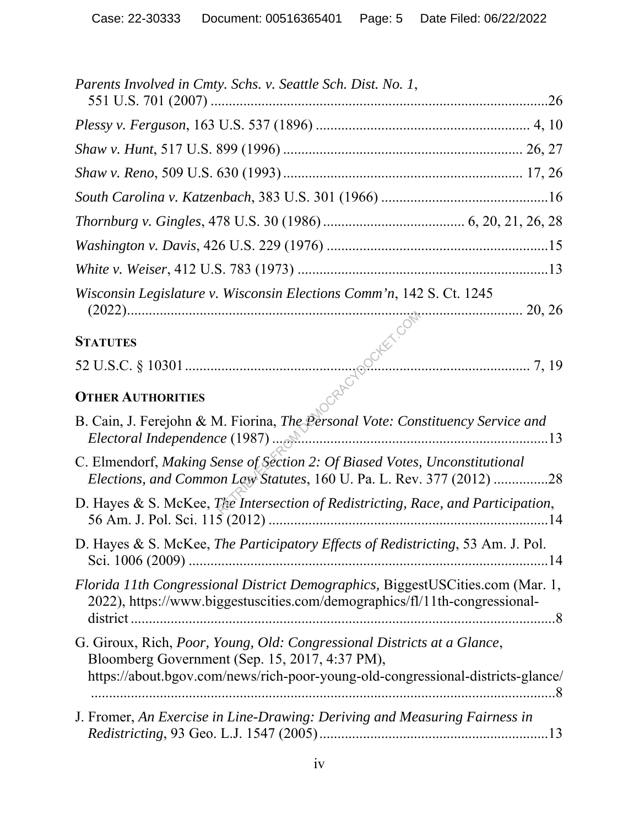| Parents Involved in Cmty. Schs. v. Seattle Sch. Dist. No. 1,                                                                                                                                                 |
|--------------------------------------------------------------------------------------------------------------------------------------------------------------------------------------------------------------|
|                                                                                                                                                                                                              |
|                                                                                                                                                                                                              |
|                                                                                                                                                                                                              |
|                                                                                                                                                                                                              |
|                                                                                                                                                                                                              |
|                                                                                                                                                                                                              |
|                                                                                                                                                                                                              |
| Wisconsin Legislature v. Wisconsin Elections Comm'n, 142 S. Ct. 1245                                                                                                                                         |
|                                                                                                                                                                                                              |
| (2022)<br>STATUTES<br>52 U.S.C. § 10301<br>CTHER AUTHORITIES                                                                                                                                                 |
|                                                                                                                                                                                                              |
| B. Cain, J. Ferejohn & M. Fiorina, The Personal Vote: Constituency Service and                                                                                                                               |
| C. Elmendorf, Making Sense of Section 2: Of Biased Votes, Unconstitutional<br>Elections, and Common Law Statutes, 160 U. Pa. L. Rev. 377 (2012) 28                                                           |
| D. Hayes & S. McKee, <i>The Intersection of Redistricting</i> , <i>Race</i> , and <i>Participation</i> ,                                                                                                     |
| D. Hayes & S. McKee, The Participatory Effects of Redistricting, 53 Am. J. Pol.                                                                                                                              |
| Florida 11th Congressional District Demographics, BiggestUSCities.com (Mar. 1,<br>2022), https://www.biggestuscities.com/demographics/fl/11th-congressional-                                                 |
| G. Giroux, Rich, Poor, Young, Old: Congressional Districts at a Glance,<br>Bloomberg Government (Sep. 15, 2017, 4:37 PM),<br>https://about.bgov.com/news/rich-poor-young-old-congressional-districts-glance/ |
| J. Fromer, An Exercise in Line-Drawing: Deriving and Measuring Fairness in                                                                                                                                   |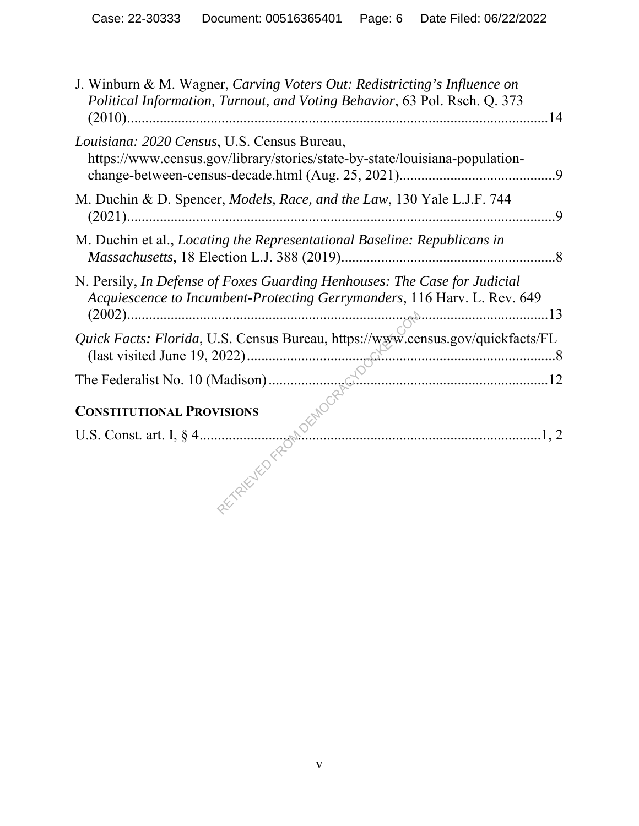| J. Winburn & M. Wagner, Carving Voters Out: Redistricting's Influence on<br>Political Information, Turnout, and Voting Behavior, 63 Pol. Rsch. Q. 373 |
|-------------------------------------------------------------------------------------------------------------------------------------------------------|
| Louisiana: 2020 Census, U.S. Census Bureau,<br>https://www.census.gov/library/stories/state-by-state/louisiana-population-                            |
| M. Duchin & D. Spencer, <i>Models, Race, and the Law</i> , 130 Yale L.J.F. 744                                                                        |
| M. Duchin et al., Locating the Representational Baseline: Republicans in                                                                              |
| N. Persily, In Defense of Foxes Guarding Henhouses: The Case for Judicial<br>Acquiescence to Incumbent-Protecting Gerrymanders, 116 Harv. L. Rev. 649 |
| Quick Facts: Florida, U.S. Census Bureau, https://www.census.gov/quickfacts/FL                                                                        |
|                                                                                                                                                       |
|                                                                                                                                                       |
|                                                                                                                                                       |
|                                                                                                                                                       |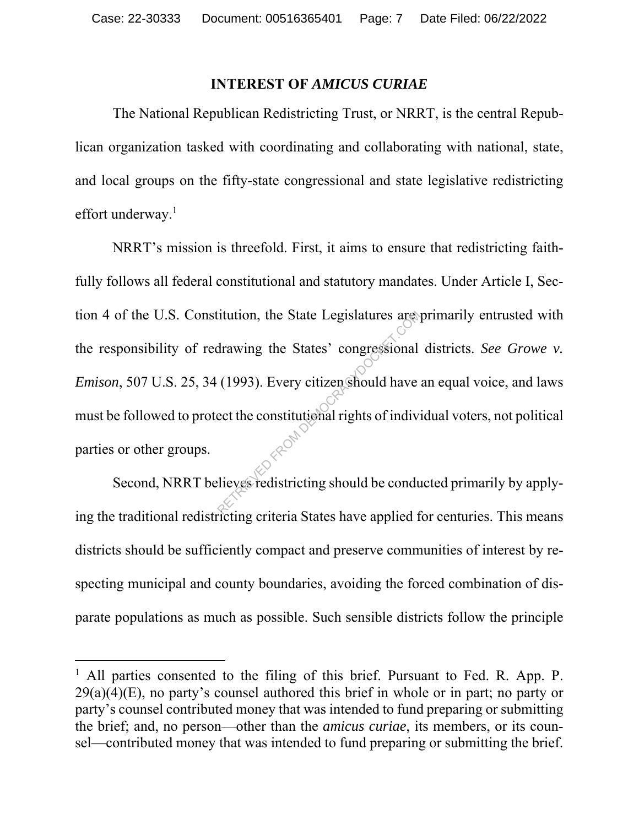#### **INTEREST OF** *AMICUS CURIAE*

The National Republican Redistricting Trust, or NRRT, is the central Republican organization tasked with coordinating and collaborating with national, state, and local groups on the fifty-state congressional and state legislative redistricting effort underway.<sup>1</sup>

NRRT's mission is threefold. First, it aims to ensure that redistricting faithfully follows all federal constitutional and statutory mandates. Under Article I, Section 4 of the U.S. Constitution, the State Legislatures are primarily entrusted with the responsibility of redrawing the States' congressional districts. *See Growe v. Emison*, 507 U.S. 25, 34 (1993). Every citizen should have an equal voice, and laws must be followed to protect the constitutional rights of individual voters, not political parties or other groups. It tuttion, the State Legislatures are<br>
drawing the States' congressional<br>
(1993). Every citizen should have<br>
ect the constitutional rights of indivery<br>
lieves redistricting should be conductively

Second, NRRT believes redistricting should be conducted primarily by applying the traditional redistricting criteria States have applied for centuries. This means districts should be sufficiently compact and preserve communities of interest by respecting municipal and county boundaries, avoiding the forced combination of disparate populations as much as possible. Such sensible districts follow the principle

<sup>&</sup>lt;sup>1</sup> All parties consented to the filing of this brief. Pursuant to Fed. R. App. P.  $29(a)(4)(E)$ , no party's counsel authored this brief in whole or in part; no party or party's counsel contributed money that was intended to fund preparing or submitting the brief; and, no person—other than the *amicus curiae*, its members, or its counsel—contributed money that was intended to fund preparing or submitting the brief.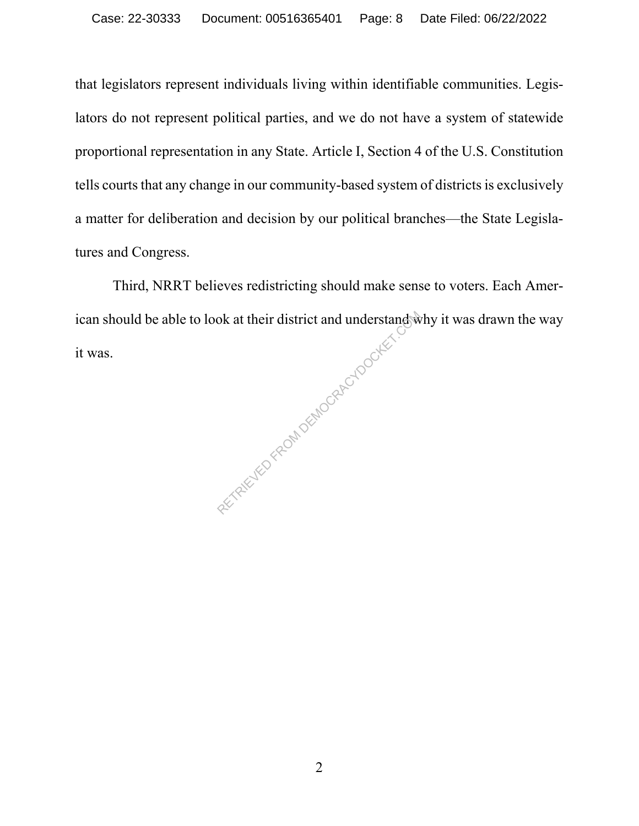that legislators represent individuals living within identifiable communities. Legislators do not represent political parties, and we do not have a system of statewide proportional representation in any State. Article I, Section 4 of the U.S. Constitution tells courts that any change in our community-based system of districts is exclusively a matter for deliberation and decision by our political branches—the State Legislatures and Congress.

Third, NRRT believes redistricting should make sense to voters. Each American should be able to look at their district and understand why it was drawn the way it was. sta sta

2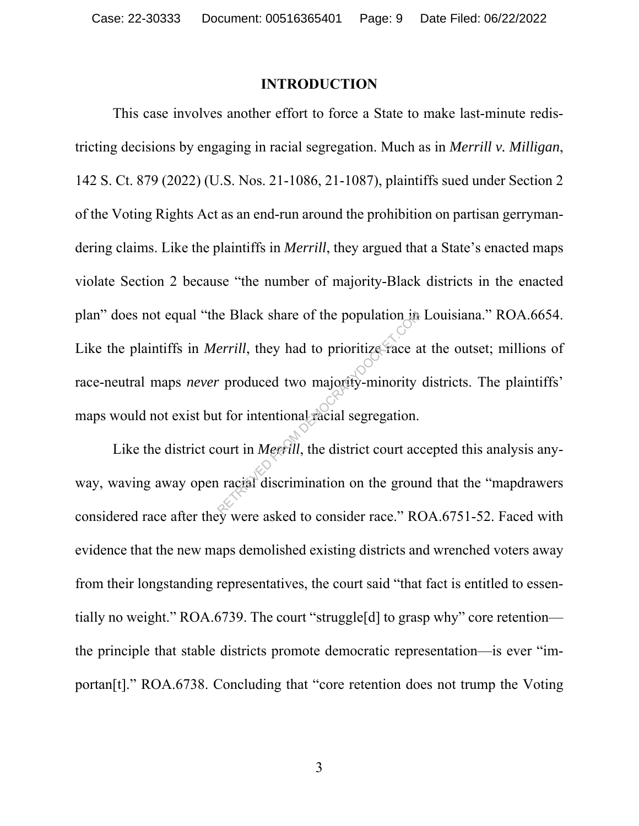#### **INTRODUCTION**

This case involves another effort to force a State to make last-minute redistricting decisions by engaging in racial segregation. Much as in *Merrill v. Milligan*, 142 S. Ct. 879 (2022) (U.S. Nos. 21-1086, 21-1087), plaintiffs sued under Section 2 of the Voting Rights Act as an end-run around the prohibition on partisan gerrymandering claims. Like the plaintiffs in *Merrill*, they argued that a State's enacted maps violate Section 2 because "the number of majority-Black districts in the enacted plan" does not equal "the Black share of the population in Louisiana." ROA.6654. Like the plaintiffs in *Merrill*, they had to prioritize race at the outset; millions of race-neutral maps *never* produced two majority-minority districts. The plaintiffs' maps would not exist but for intentional racial segregation. errill, they had to prioritize race a<br>
retrill, they had to prioritize race a<br>
reproduced two majority-minority<br>
t for intentional racial segregation.<br>
ourt in *Megrill*, the district court act act and discrimination on th

Like the district court in *Merrill*, the district court accepted this analysis anyway, waving away open racial discrimination on the ground that the "mapdrawers considered race after they were asked to consider race." ROA.6751-52. Faced with evidence that the new maps demolished existing districts and wrenched voters away from their longstanding representatives, the court said "that fact is entitled to essentially no weight." ROA.6739. The court "struggle[d] to grasp why" core retention the principle that stable districts promote democratic representation—is ever "importan[t]." ROA.6738. Concluding that "core retention does not trump the Voting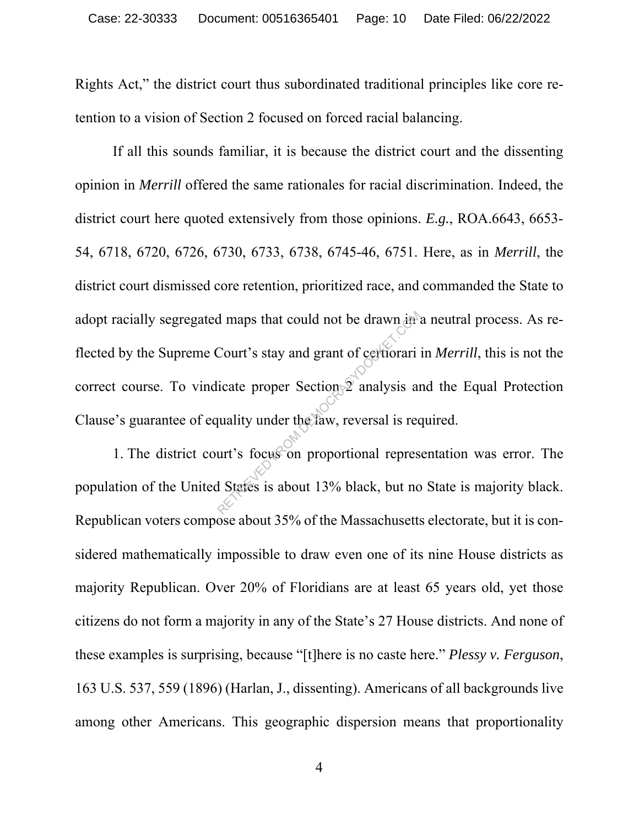Rights Act," the district court thus subordinated traditional principles like core retention to a vision of Section 2 focused on forced racial balancing.

If all this sounds familiar, it is because the district court and the dissenting opinion in *Merrill* offered the same rationales for racial discrimination. Indeed, the district court here quoted extensively from those opinions. *E.g.*, ROA.6643, 6653- 54, 6718, 6720, 6726, 6730, 6733, 6738, 6745-46, 6751. Here, as in *Merrill*, the district court dismissed core retention, prioritized race, and commanded the State to adopt racially segregated maps that could not be drawn in a neutral process. As reflected by the Supreme Court's stay and grant of certiorari in *Merrill*, this is not the correct course. To vindicate proper Section 2 analysis and the Equal Protection Clause's guarantee of equality under the law, reversal is required. The demonstrated that is the drawn in the demonstrated that the proper Section of certiorari is an unality under the daw, reversal is recently is focused. The proportional represent of States is about 13% black, but no

1. The district court's focus on proportional representation was error. The population of the United States is about 13% black, but no State is majority black. Republican voters compose about 35% of the Massachusetts electorate, but it is considered mathematically impossible to draw even one of its nine House districts as majority Republican. Over 20% of Floridians are at least 65 years old, yet those citizens do not form a majority in any of the State's 27 House districts. And none of these examples is surprising, because "[t]here is no caste here." *Plessy v. Ferguson*, 163 U.S. 537, 559 (1896) (Harlan, J., dissenting). Americans of all backgrounds live among other Americans. This geographic dispersion means that proportionality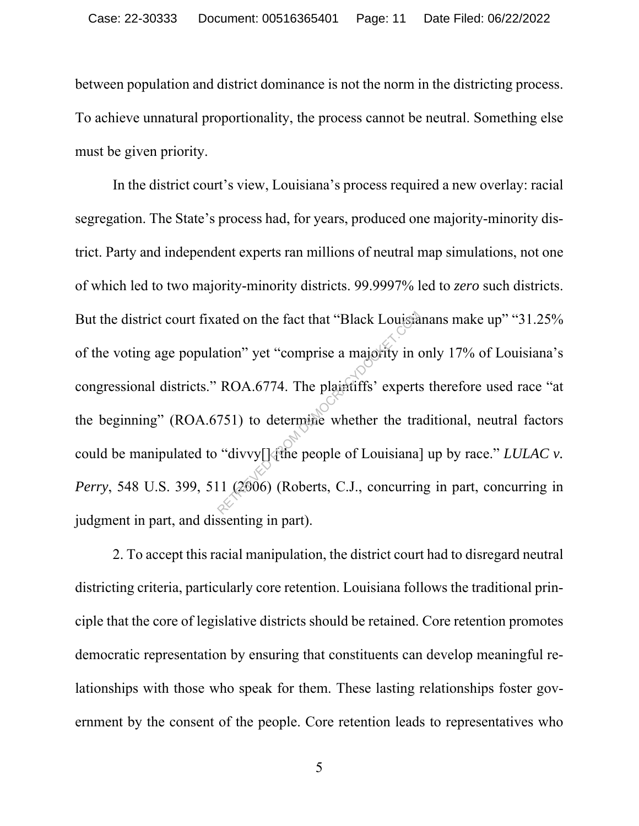between population and district dominance is not the norm in the districting process. To achieve unnatural proportionality, the process cannot be neutral. Something else must be given priority.

In the district court's view, Louisiana's process required a new overlay: racial segregation. The State's process had, for years, produced one majority-minority district. Party and independent experts ran millions of neutral map simulations, not one of which led to two majority-minority districts. 99.9997% led to *zero* such districts. But the district court fixated on the fact that "Black Louisianans make up" "31.25% of the voting age population" yet "comprise a majority in only 17% of Louisiana's congressional districts." ROA.6774. The plaintiffs' experts therefore used race "at the beginning" (ROA.6751) to determine whether the traditional, neutral factors could be manipulated to "divvy[]  $\frac{1}{2}$  the people of Louisiana] up by race." *LULAC v. Perry*, 548 U.S. 399, 511 (2006) (Roberts, C.J., concurring in part, concurring in judgment in part, and dissenting in part). ated on the fact that "Black Louisia"<br>tion" yet "comprise a majority in or<br>ROA.6774. The plaintiffs' experts<br>751) to determine whether the tra<br>"divvy[] (the people of Louisiana]<br>11 (2006) (Roberts, C.J., concurring

2. To accept this racial manipulation, the district court had to disregard neutral districting criteria, particularly core retention. Louisiana follows the traditional principle that the core of legislative districts should be retained. Core retention promotes democratic representation by ensuring that constituents can develop meaningful relationships with those who speak for them. These lasting relationships foster government by the consent of the people. Core retention leads to representatives who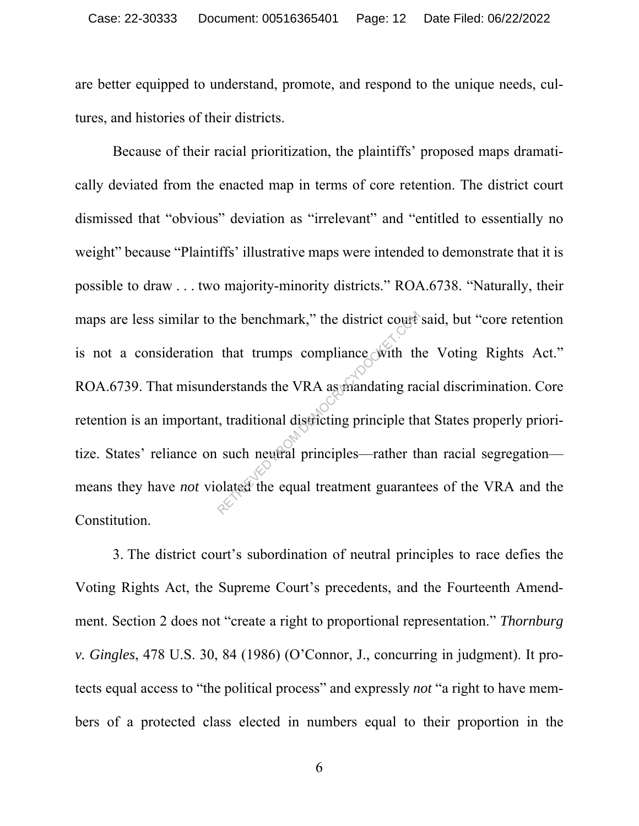are better equipped to understand, promote, and respond to the unique needs, cultures, and histories of their districts.

Because of their racial prioritization, the plaintiffs' proposed maps dramatically deviated from the enacted map in terms of core retention. The district court dismissed that "obvious" deviation as "irrelevant" and "entitled to essentially no weight" because "Plaintiffs' illustrative maps were intended to demonstrate that it is possible to draw . . . two majority-minority districts." ROA.6738. "Naturally, their maps are less similar to the benchmark," the district court said, but "core retention is not a consideration that trumps compliance with the Voting Rights Act." ROA.6739. That misunderstands the VRA as mandating racial discrimination. Core retention is an important, traditional districting principle that States properly prioritize. States' reliance on such neutral principles—rather than racial segregation means they have *not* violated the equal treatment guarantees of the VRA and the Constitution. that trumps compliance with the<br>lerstands the VRA as mandating radio<br>t, traditional districting principle the<br>such neutral principles—rather the<br>olated the equal treatment guarante

3. The district court's subordination of neutral principles to race defies the Voting Rights Act, the Supreme Court's precedents, and the Fourteenth Amendment. Section 2 does not "create a right to proportional representation." *Thornburg v. Gingles*, 478 U.S. 30, 84 (1986) (O'Connor, J., concurring in judgment). It protects equal access to "the political process" and expressly *not* "a right to have members of a protected class elected in numbers equal to their proportion in the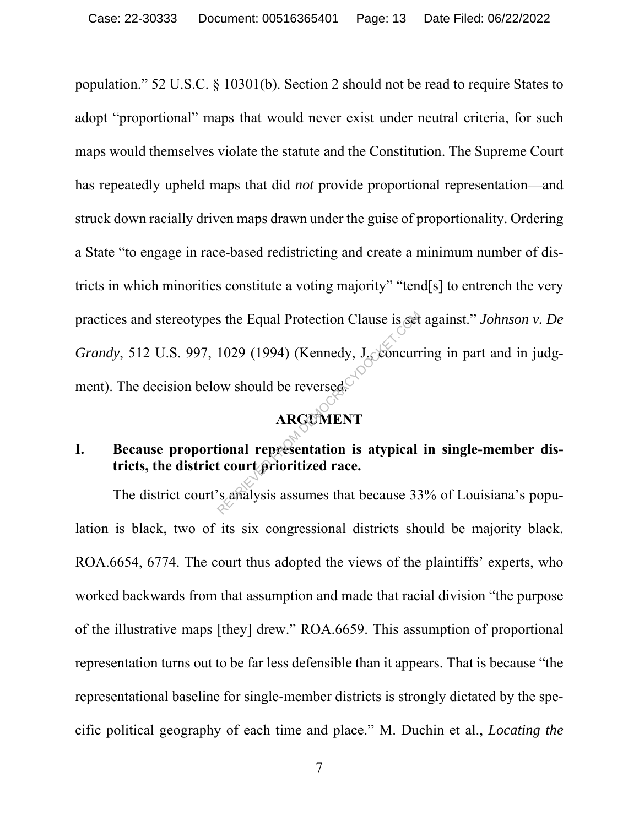population." 52 U.S.C. § 10301(b). Section 2 should not be read to require States to adopt "proportional" maps that would never exist under neutral criteria, for such maps would themselves violate the statute and the Constitution. The Supreme Court has repeatedly upheld maps that did *not* provide proportional representation—and struck down racially driven maps drawn under the guise of proportionality. Ordering a State "to engage in race-based redistricting and create a minimum number of districts in which minorities constitute a voting majority" "tend[s] to entrench the very practices and stereotypes the Equal Protection Clause is set against." *Johnson v. De Grandy*, 512 U.S. 997, 1029 (1994) (Kennedy, J., concurring in part and in judgment). The decision below should be reversed. REGUAL Protection Clause is set<br>
1029 (1994) (Kennedy, J. Concurr<br>
NEGUMENT<br>
ARGUMENT<br>
ional representation is atypical<br>
t court prioritized race.<br>
S. Analysis assumes that because 33

### **ARGUMENT**

### **I. Because proportional representation is atypical in single-member districts, the district court prioritized race.**

The district court's analysis assumes that because 33% of Louisiana's population is black, two of its six congressional districts should be majority black. ROA.6654, 6774. The court thus adopted the views of the plaintiffs' experts, who worked backwards from that assumption and made that racial division "the purpose of the illustrative maps [they] drew." ROA.6659. This assumption of proportional representation turns out to be far less defensible than it appears. That is because "the representational baseline for single-member districts is strongly dictated by the specific political geography of each time and place." M. Duchin et al., *Locating the*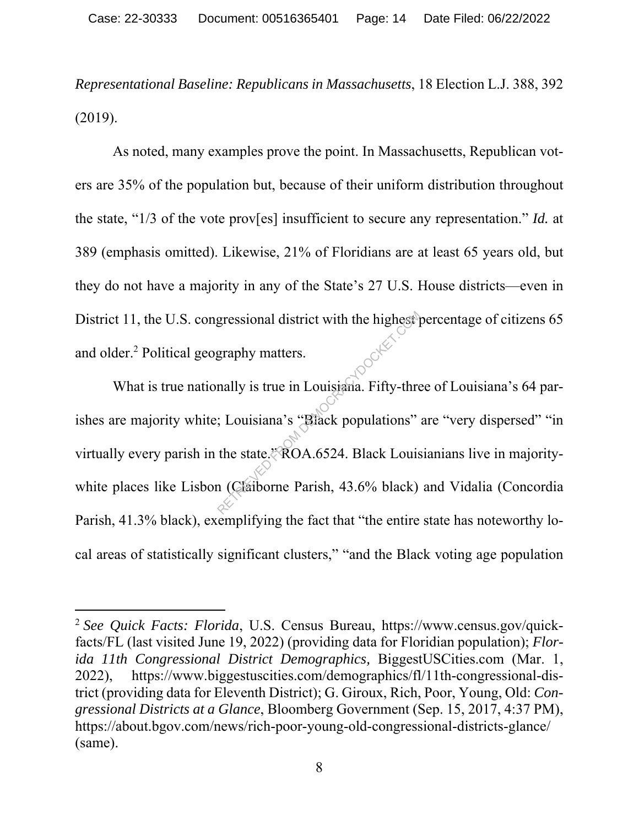*Representational Baseline: Republicans in Massachusetts*, 18 Election L.J. 388, 392 (2019).

As noted, many examples prove the point. In Massachusetts, Republican voters are 35% of the population but, because of their uniform distribution throughout the state, "1/3 of the vote prov[es] insufficient to secure any representation." *Id.* at 389 (emphasis omitted). Likewise, 21% of Floridians are at least 65 years old, but they do not have a majority in any of the State's 27 U.S. House districts—even in District 11, the U.S. congressional district with the highest percentage of citizens 65 and older.<sup>2</sup> Political geography matters.

What is true nationally is true in Louisiana. Fifty-three of Louisiana's 64 parishes are majority white; Louisiana's "Black populations" are "very dispersed" "in virtually every parish in the state." ROA.6524. Black Louisianians live in majoritywhite places like Lisbon (Claiborne Parish, 43.6% black) and Vidalia (Concordia Parish, 41.3% black), exemplifying the fact that "the entire state has noteworthy local areas of statistically significant clusters," "and the Black voting age population graphy matters.<br>
anally is true in Louisiana. Fifty-three in Louisiana. Fifty-three is Louisiana's "Black populations"<br>
the state "ROA.6524. Black Louis (Claiborne Parish, 43.6% black)

<sup>2</sup> *See Quick Facts: Florida*, U.S. Census Bureau, https://www.census.gov/quickfacts/FL (last visited June 19, 2022) (providing data for Floridian population); *Florida 11th Congressional District Demographics,* BiggestUSCities.com (Mar. 1, 2022), https://www.biggestuscities.com/demographics/fl/11th-congressional-district (providing data for Eleventh District); G. Giroux, Rich, Poor, Young, Old: *Congressional Districts at a Glance*, Bloomberg Government (Sep. 15, 2017, 4:37 PM), https://about.bgov.com/news/rich-poor-young-old-congressional-districts-glance/ (same).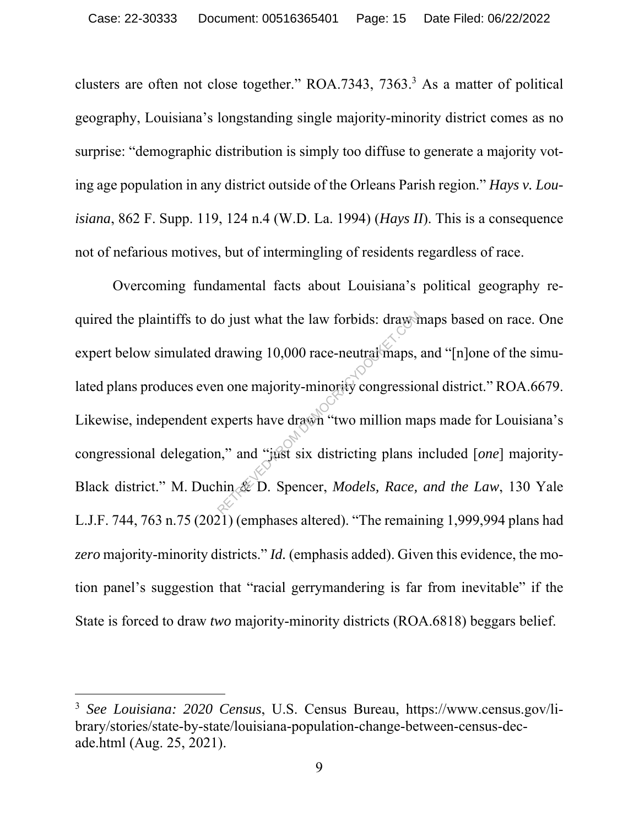clusters are often not close together." ROA.7343, 7363.<sup>3</sup> As a matter of political geography, Louisiana's longstanding single majority-minority district comes as no surprise: "demographic distribution is simply too diffuse to generate a majority voting age population in any district outside of the Orleans Parish region." *Hays v. Louisiana*, 862 F. Supp. 119, 124 n.4 (W.D. La. 1994) (*Hays II*). This is a consequence not of nefarious motives, but of intermingling of residents regardless of race.

Overcoming fundamental facts about Louisiana's political geography required the plaintiffs to do just what the law forbids: draw maps based on race. One expert below simulated drawing 10,000 race-neutral maps, and "[n]one of the simulated plans produces even one majority-minority congressional district." ROA.6679. Likewise, independent experts have drawn "two million maps made for Louisiana's congressional delegation," and "just six districting plans included [*one*] majority-Black district." M. Duchin & D. Spencer, *Models, Race, and the Law*, 130 Yale L.J.F. 744, 763 n.75 (2021) (emphases altered). "The remaining 1,999,994 plans had *zero* majority-minority districts." *Id.* (emphasis added). Given this evidence, the motion panel's suggestion that "racial gerrymandering is far from inevitable" if the State is forced to draw *two* majority-minority districts (ROA.6818) beggars belief. o just what the law forbids: draws<br>drawing 10,000 race-neutral maps,<br>n one majority-minority congressio<br>xperts have drawn "two million ma<br>n," and "just six districting plans i<br>hin & D. Spencer, *Models, Race*,

<sup>3</sup> *See Louisiana: 2020 Census*, U.S. Census Bureau, https://www.census.gov/library/stories/state-by-state/louisiana-population-change-between-census-decade.html (Aug. 25, 2021).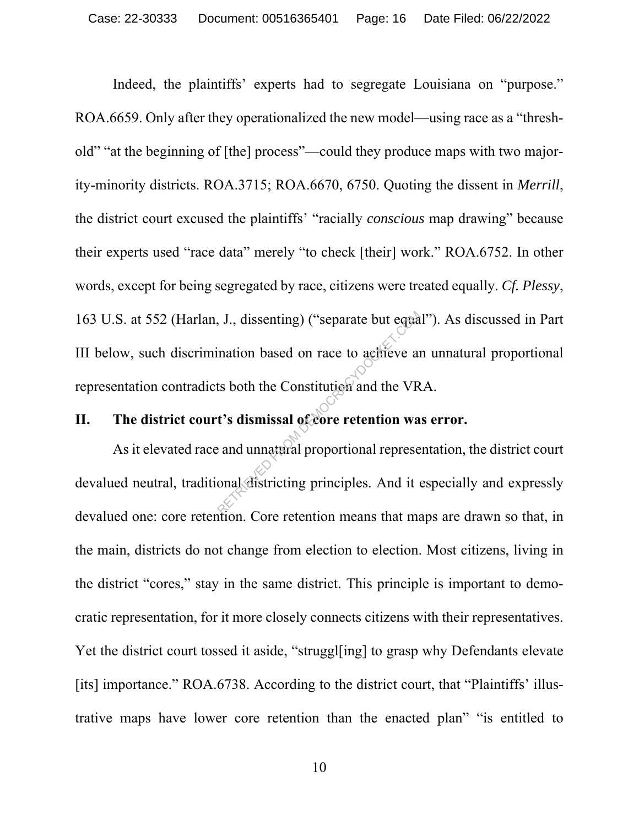Indeed, the plaintiffs' experts had to segregate Louisiana on "purpose." ROA.6659. Only after they operationalized the new model—using race as a "threshold" "at the beginning of [the] process"—could they produce maps with two majority-minority districts. ROA.3715; ROA.6670, 6750. Quoting the dissent in *Merrill*, the district court excused the plaintiffs' "racially *conscious* map drawing" because their experts used "race data" merely "to check [their] work." ROA.6752. In other words, except for being segregated by race, citizens were treated equally. *Cf. Plessy*, 163 U.S. at 552 (Harlan, J., dissenting) ("separate but equal"). As discussed in Part III below, such discrimination based on race to achieve an unnatural proportional representation contradicts both the Constitution and the VRA. I., J., dissenting) ("separate but equals<br>ination based on race to achieve an<br>ts both the Constitution and the VR<br>t's dismissal of core retention was<br>and unnatural proportional represe

### **II. The district court's dismissal of core retention was error.**

As it elevated race and unnatural proportional representation, the district court devalued neutral, traditional districting principles. And it especially and expressly devalued one: core retention. Core retention means that maps are drawn so that, in the main, districts do not change from election to election. Most citizens, living in the district "cores," stay in the same district. This principle is important to democratic representation, for it more closely connects citizens with their representatives. Yet the district court tossed it aside, "struggl[ing] to grasp why Defendants elevate [its] importance." ROA.6738. According to the district court, that "Plaintiffs' illustrative maps have lower core retention than the enacted plan" "is entitled to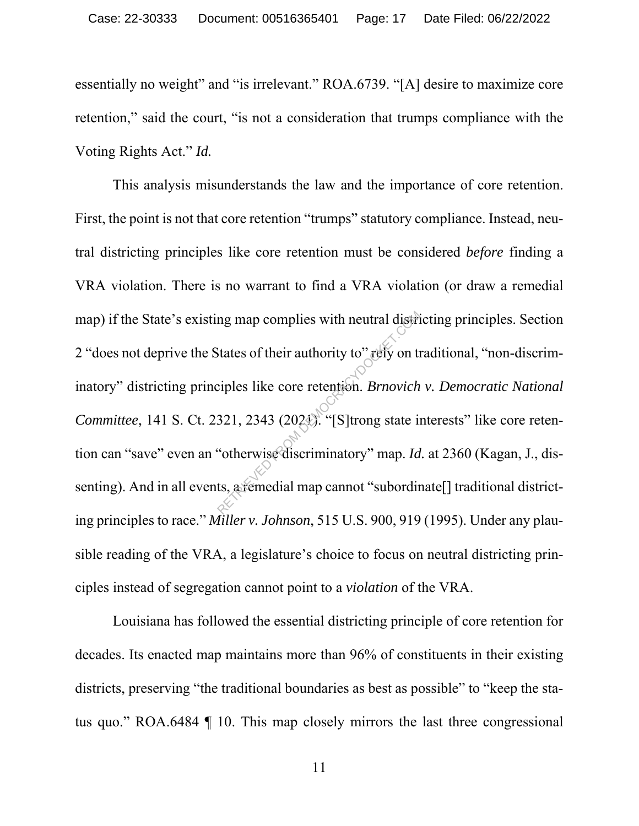essentially no weight" and "is irrelevant." ROA.6739. "[A] desire to maximize core retention," said the court, "is not a consideration that trumps compliance with the Voting Rights Act." *Id.*

This analysis misunderstands the law and the importance of core retention. First, the point is not that core retention "trumps" statutory compliance. Instead, neutral districting principles like core retention must be considered *before* finding a VRA violation. There is no warrant to find a VRA violation (or draw a remedial map) if the State's existing map complies with neutral districting principles. Section 2 "does not deprive the States of their authority to" rely on traditional, "non-discriminatory" districting principles like core retention. *Brnovich v. Democratic National Committee*, 141 S. Ct. 2321, 2343 (2021). "[S]trong state interests" like core retention can "save" even an "otherwise discriminatory" map. *Id.* at 2360 (Kagan, J., dissenting). And in all events, a remedial map cannot "subordinate<sup>[]</sup> traditional districting principles to race." *Miller v. Johnson*, 515 U.S. 900, 919 (1995). Under any plausible reading of the VRA, a legislature's choice to focus on neutral districting principles instead of segregation cannot point to a *violation* of the VRA. ng map complies with neutral distributed is that is the core in authority to" rely on the ciples like core retention. *Brnovich*<br>321, 2343 (2024). "[S] trong state in "otherwise discriminatory" map. *Id* ts, a remedial map

Louisiana has followed the essential districting principle of core retention for decades. Its enacted map maintains more than 96% of constituents in their existing districts, preserving "the traditional boundaries as best as possible" to "keep the status quo." ROA.6484 ¶ 10. This map closely mirrors the last three congressional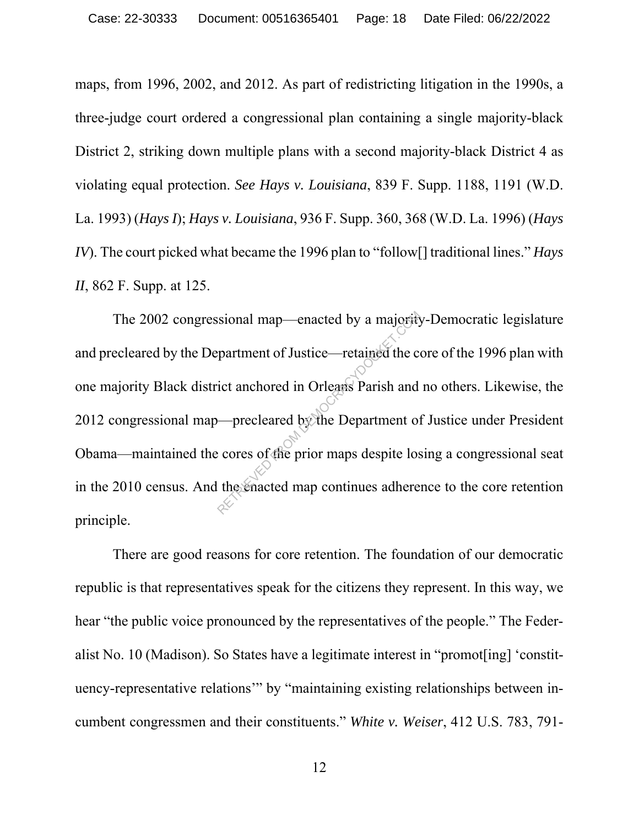maps, from 1996, 2002, and 2012. As part of redistricting litigation in the 1990s, a three-judge court ordered a congressional plan containing a single majority-black District 2, striking down multiple plans with a second majority-black District 4 as violating equal protection. *See Hays v. Louisiana*, 839 F. Supp. 1188, 1191 (W.D. La. 1993) (*Hays I*); *Hays v. Louisiana*, 936 F. Supp. 360, 368 (W.D. La. 1996) (*Hays IV*). The court picked what became the 1996 plan to "follow[] traditional lines." *Hays II*, 862 F. Supp. at 125.

The 2002 congressional map—enacted by a majority-Democratic legislature and precleared by the Department of Justice—retained the core of the 1996 plan with one majority Black district anchored in Orleans Parish and no others. Likewise, the 2012 congressional map—precleared by the Department of Justice under President Obama—maintained the cores of the prior maps despite losing a congressional seat in the 2010 census. And the enacted map continues adherence to the core retention principle. Sional map—enacted by a majority<br>
epartment of Justice—retained the compartment of Justice—retained the correct<br>
ict anchored in Orleans Parish and<br>
precleared by the Department of<br>
exercise of the prior maps despite los

There are good reasons for core retention. The foundation of our democratic republic is that representatives speak for the citizens they represent. In this way, we hear "the public voice pronounced by the representatives of the people." The Federalist No. 10 (Madison). So States have a legitimate interest in "promot[ing] 'constituency-representative relations'" by "maintaining existing relationships between incumbent congressmen and their constituents." *White v. Weiser*, 412 U.S. 783, 791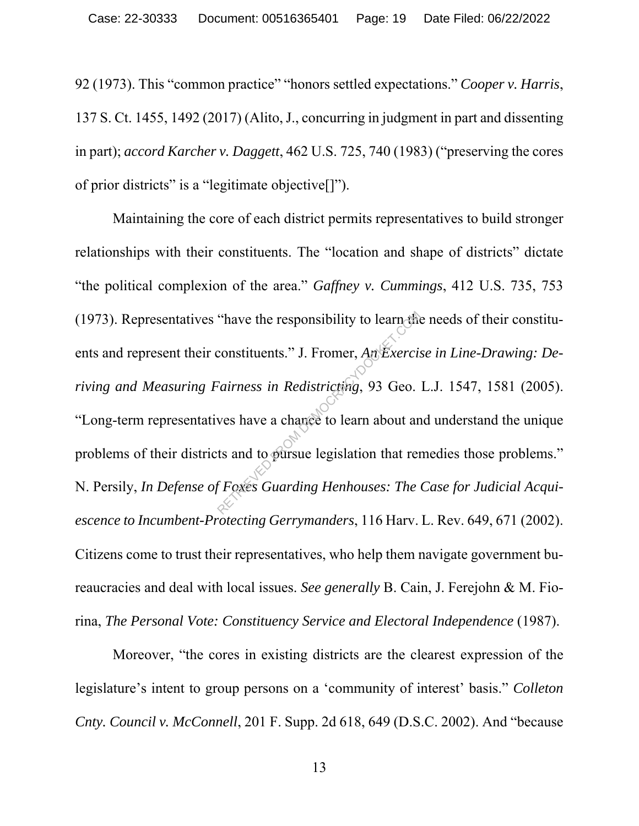92 (1973). This "common practice" "honors settled expectations." *Cooper v. Harris*, 137 S. Ct. 1455, 1492 (2017) (Alito, J., concurring in judgment in part and dissenting in part); *accord Karcher v. Daggett*, 462 U.S. 725, 740 (1983) ("preserving the cores of prior districts" is a "legitimate objective[]").

Maintaining the core of each district permits representatives to build stronger relationships with their constituents. The "location and shape of districts" dictate "the political complexion of the area." *Gaffney v. Cummings*, 412 U.S. 735, 753 (1973). Representatives "have the responsibility to learn the needs of their constituents and represent their constituents." J. Fromer, *An Exercise in Line-Drawing: Deriving and Measuring Fairness in Redistricting*, 93 Geo. L.J. 1547, 1581 (2005). "Long-term representatives have a chance to learn about and understand the unique problems of their districts and to pursue legislation that remedies those problems." N. Persily, *In Defense of Foxes Guarding Henhouses: The Case for Judicial Acquiescence to Incumbent-Protecting Gerrymanders*, 116 Harv. L. Rev. 649, 671 (2002). Citizens come to trust their representatives, who help them navigate government bureaucracies and deal with local issues. *See generally* B. Cain, J. Ferejohn & M. Fiorina, *The Personal Vote: Constituency Service and Electoral Independence* (1987). "have the responsibility to learn the<br>constituents." J. Fromer,  $An Exercise$ <br>Fairness in Redistricting, 93 Geo.<br>wes have a chance to learn about an<br>ts and to pursue legislation that ref<br>f Foxes Guarding Henhouses: The

Moreover, "the cores in existing districts are the clearest expression of the legislature's intent to group persons on a 'community of interest' basis." *Colleton Cnty. Council v. McConnell*, 201 F. Supp. 2d 618, 649 (D.S.C. 2002). And "because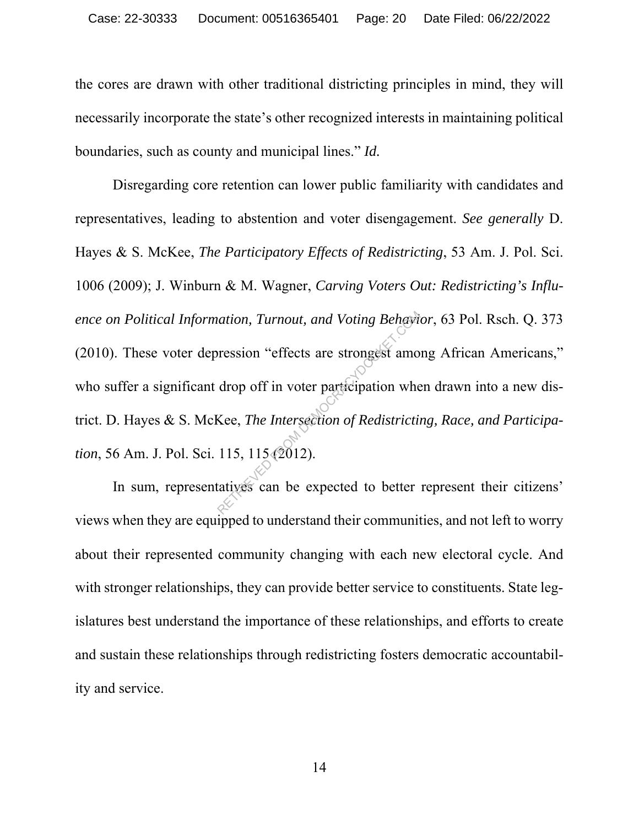the cores are drawn with other traditional districting principles in mind, they will necessarily incorporate the state's other recognized interests in maintaining political boundaries, such as county and municipal lines." *Id.*

Disregarding core retention can lower public familiarity with candidates and representatives, leading to abstention and voter disengagement. *See generally* D. Hayes & S. McKee, *The Participatory Effects of Redistricting*, 53 Am. J. Pol. Sci. 1006 (2009); J. Winburn & M. Wagner, *Carving Voters Out: Redistricting's Influence on Political Information, Turnout, and Voting Behavior*, 63 Pol. Rsch. Q. 373 (2010). These voter depression "effects are strongest among African Americans," who suffer a significant drop off in voter participation when drawn into a new district. D. Hayes & S. McKee, *The Intersection of Redistricting, Race, and Participation*, 56 Am. J. Pol. Sci. 115, 115 (2012). Example 115. The Intersection of Redistriction<br>References are strongest amordrop off in voter participation where<br>Kee, *The Intersection of Redistriction*<br>115, 115 (2012).<br>Latives can be expected to better

In sum, representatives can be expected to better represent their citizens' views when they are equipped to understand their communities, and not left to worry about their represented community changing with each new electoral cycle. And with stronger relationships, they can provide better service to constituents. State legislatures best understand the importance of these relationships, and efforts to create and sustain these relationships through redistricting fosters democratic accountability and service.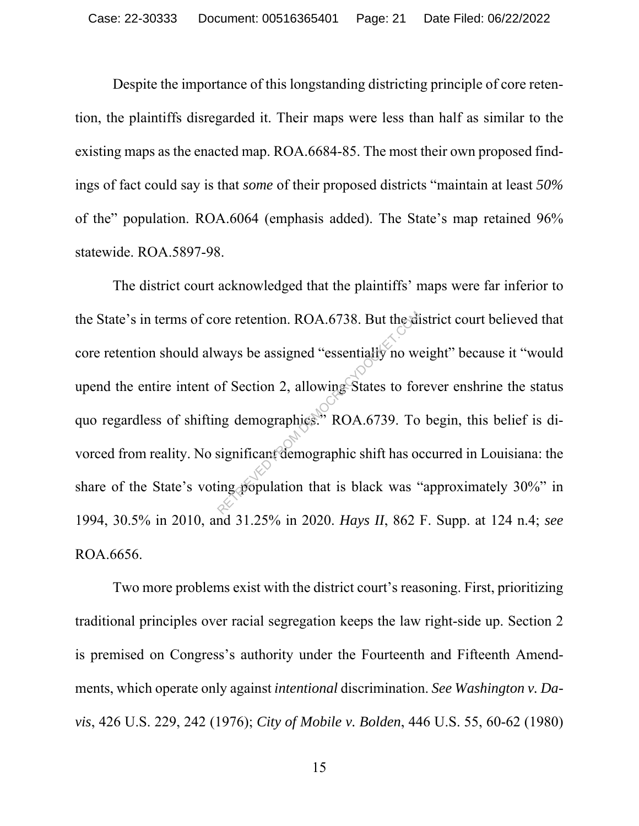Despite the importance of this longstanding districting principle of core retention, the plaintiffs disregarded it. Their maps were less than half as similar to the existing maps as the enacted map. ROA.6684-85. The most their own proposed findings of fact could say is that *some* of their proposed districts "maintain at least *50%* of the" population. ROA.6064 (emphasis added). The State's map retained 96% statewide. ROA.5897-98.

The district court acknowledged that the plaintiffs' maps were far inferior to the State's in terms of core retention. ROA.6738. But the district court believed that core retention should always be assigned "essentially no weight" because it "would upend the entire intent of Section 2, allowing States to forever enshrine the status quo regardless of shifting demographics." ROA.6739. To begin, this belief is divorced from reality. No significant demographic shift has occurred in Louisiana: the share of the State's voting population that is black was "approximately 30%" in 1994, 30.5% in 2010, and 31.25% in 2020. *Hays II*, 862 F. Supp. at 124 n.4; *see* ROA.6656. ore retention. ROA.6738. But the diversion of Section 2, allowing States to for the diversion of Section 2, allowing States to for the demographics." ROA.6739. To significant demographic shift has our expression that is bl

Two more problems exist with the district court's reasoning. First, prioritizing traditional principles over racial segregation keeps the law right-side up. Section 2 is premised on Congress's authority under the Fourteenth and Fifteenth Amendments, which operate only against *intentional* discrimination. *See Washington v. Davis*, 426 U.S. 229, 242 (1976); *City of Mobile v. Bolden*, 446 U.S. 55, 60-62 (1980)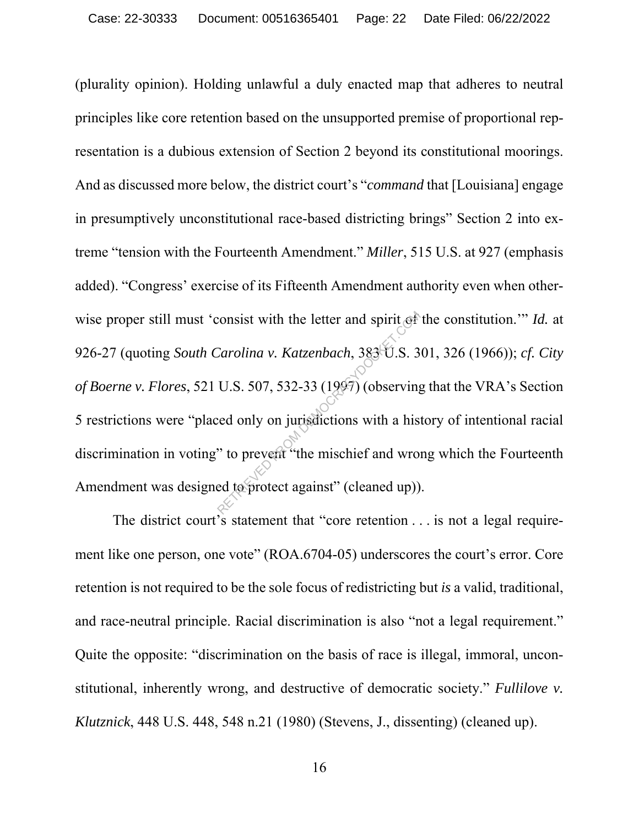(plurality opinion). Holding unlawful a duly enacted map that adheres to neutral principles like core retention based on the unsupported premise of proportional representation is a dubious extension of Section 2 beyond its constitutional moorings. And as discussed more below, the district court's "*command* that [Louisiana] engage in presumptively unconstitutional race-based districting brings" Section 2 into extreme "tension with the Fourteenth Amendment." *Miller*, 515 U.S. at 927 (emphasis added). "Congress' exercise of its Fifteenth Amendment authority even when otherwise proper still must 'consist with the letter and spirit of the constitution.'" *Id.* at 926-27 (quoting *South Carolina v. Katzenbach*, 383 U.S. 301, 326 (1966)); *cf. City of Boerne v. Flores*, 521 U.S. 507, 532-33 (1997) (observing that the VRA's Section 5 restrictions were "placed only on jurisdictions with a history of intentional racial discrimination in voting" to prevent "the mischief and wrong which the Fourteenth Amendment was designed to protect against" (cleaned up)). consist with the letter and spirit of<br>Carolina v. Katzenbach, 383 U.S. 3<br>U.S. 507, 532-33 (1997) (observing<br>ed only on jurisdictions with a his<br>"to prevent "the mischief and wromed to protect against" (cleaned up))

The district court's statement that "core retention . . . is not a legal requirement like one person, one vote" (ROA.6704-05) underscores the court's error. Core retention is not required to be the sole focus of redistricting but *is* a valid, traditional, and race-neutral principle. Racial discrimination is also "not a legal requirement." Quite the opposite: "discrimination on the basis of race is illegal, immoral, unconstitutional, inherently wrong, and destructive of democratic society." *Fullilove v. Klutznick*, 448 U.S. 448, 548 n.21 (1980) (Stevens, J., dissenting) (cleaned up).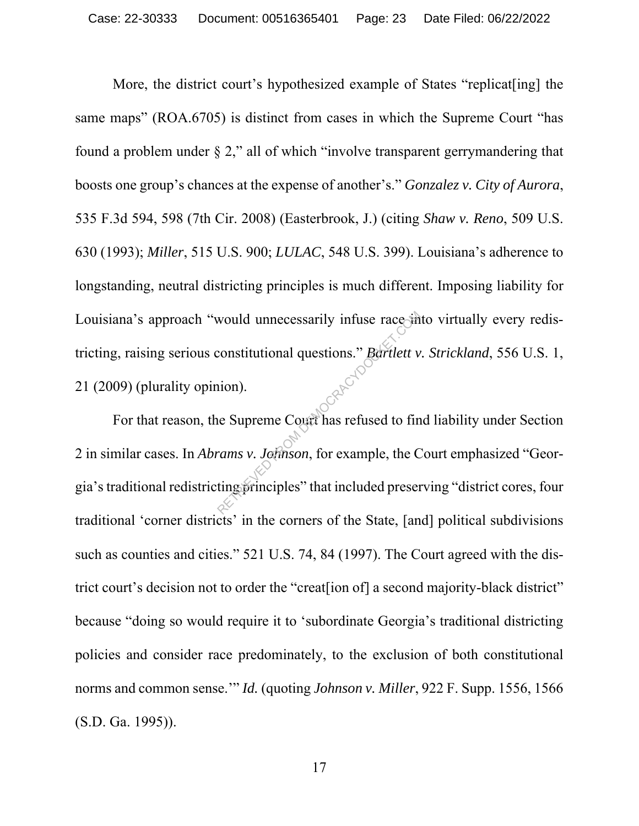More, the district court's hypothesized example of States "replicat[ing] the same maps" (ROA.6705) is distinct from cases in which the Supreme Court "has found a problem under § 2," all of which "involve transparent gerrymandering that boosts one group's chances at the expense of another's." *Gonzalez v. City of Aurora*, 535 F.3d 594, 598 (7th Cir. 2008) (Easterbrook, J.) (citing *Shaw v. Reno*, 509 U.S. 630 (1993); *Miller*, 515 U.S. 900; *LULAC*, 548 U.S. 399). Louisiana's adherence to longstanding, neutral districting principles is much different. Imposing liability for Louisiana's approach "would unnecessarily infuse race into virtually every redistricting, raising serious constitutional questions." *Bartlett v. Strickland*, 556 U.S. 1, 21 (2009) (plurality opinion).

For that reason, the Supreme Court has refused to find liability under Section 2 in similar cases. In *Abrams v. Johnson*, for example, the Court emphasized "Georgia's traditional redistricting principles" that included preserving "district cores, four traditional 'corner districts' in the corners of the State, [and] political subdivisions such as counties and cities." 521 U.S. 74, 84 (1997). The Court agreed with the district court's decision not to order the "creat[ion of] a second majority-black district" because "doing so would require it to 'subordinate Georgia's traditional districting policies and consider race predominately, to the exclusion of both constitutional norms and common sense.'" *Id.* (quoting *Johnson v. Miller*, 922 F. Supp. 1556, 1566 (S.D. Ga. 1995)). would unnecessarily infuse race in<br>
constitutional questions." Bartlett v<br>
nion).<br>
le Supreme Court has refused to fin<br>
rams v. Johnson, for example, the C<br>
ting principles" that included preser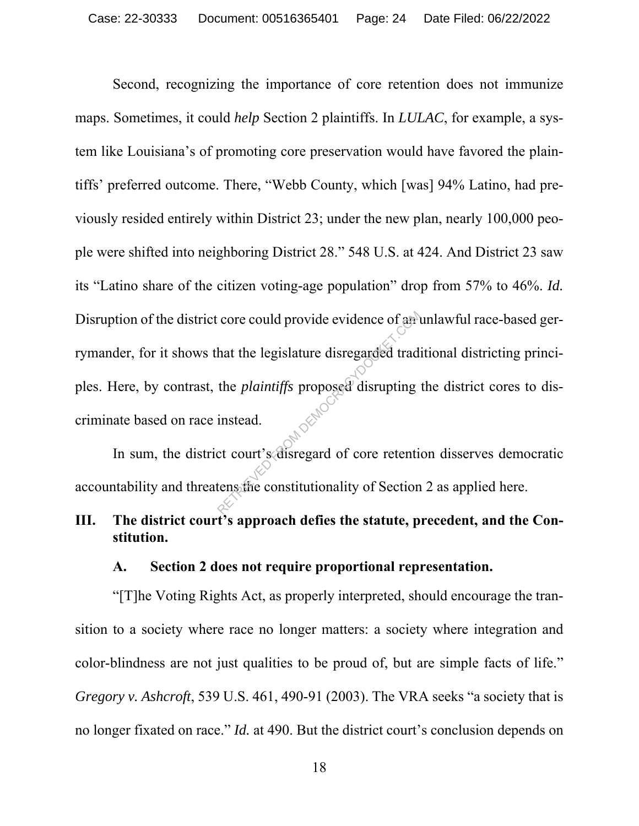Second, recognizing the importance of core retention does not immunize maps. Sometimes, it could *help* Section 2 plaintiffs. In *LULAC*, for example, a system like Louisiana's of promoting core preservation would have favored the plaintiffs' preferred outcome. There, "Webb County, which [was] 94% Latino, had previously resided entirely within District 23; under the new plan, nearly 100,000 people were shifted into neighboring District 28." 548 U.S. at 424. And District 23 saw its "Latino share of the citizen voting-age population" drop from 57% to 46%. *Id.* Disruption of the district core could provide evidence of an unlawful race-based gerrymander, for it shows that the legislature disregarded traditional districting principles. Here, by contrast, the *plaintiffs* proposed disrupting the district cores to discriminate based on race instead. From the legislature disregarded tradenties that the legislature disregarded tradenties the *plaintiffs* proposed disrupting instead.<br>
Let court's disregard of core retenties the constitutionality of Section

In sum, the district court's disregard of core retention disserves democratic accountability and threatens the constitutionality of Section 2 as applied here.

## **III. The district court's approach defies the statute, precedent, and the Constitution.**

#### **A. Section 2 does not require proportional representation.**

"[T]he Voting Rights Act, as properly interpreted, should encourage the transition to a society where race no longer matters: a society where integration and color-blindness are not just qualities to be proud of, but are simple facts of life." *Gregory v. Ashcroft*, 539 U.S. 461, 490-91 (2003). The VRA seeks "a society that is no longer fixated on race." *Id.* at 490. But the district court's conclusion depends on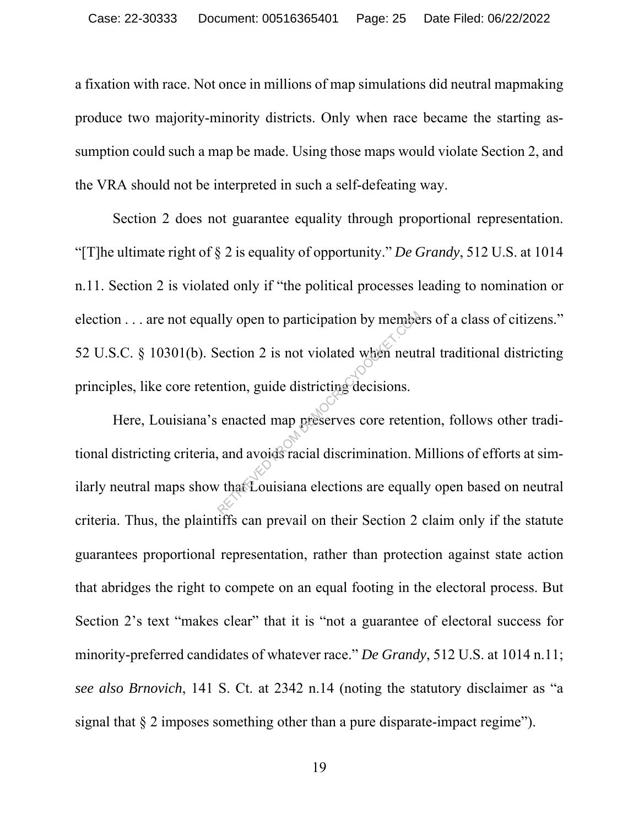a fixation with race. Not once in millions of map simulations did neutral mapmaking produce two majority-minority districts. Only when race became the starting assumption could such a map be made. Using those maps would violate Section 2, and the VRA should not be interpreted in such a self-defeating way.

Section 2 does not guarantee equality through proportional representation. "[T]he ultimate right of § 2 is equality of opportunity." *De Grandy*, 512 U.S. at 1014 n.11. Section 2 is violated only if "the political processes leading to nomination or election . . . are not equally open to participation by members of a class of citizens." 52 U.S.C. § 10301(b). Section 2 is not violated when neutral traditional districting principles, like core retention, guide districting decisions.

Here, Louisiana's enacted map preserves core retention, follows other traditional districting criteria, and avoids racial discrimination. Millions of efforts at similarly neutral maps show that Louisiana elections are equally open based on neutral criteria. Thus, the plaintiffs can prevail on their Section 2 claim only if the statute guarantees proportional representation, rather than protection against state action that abridges the right to compete on an equal footing in the electoral process. But Section 2's text "makes clear" that it is "not a guarantee of electoral success for minority-preferred candidates of whatever race." *De Grandy*, 512 U.S. at 1014 n.11; *see also Brnovich*, 141 S. Ct. at 2342 n.14 (noting the statutory disclaimer as "a signal that § 2 imposes something other than a pure disparate-impact regime"). Ily open to participation by members<br>
Section 2 is not violated when neut<br>
mtion, guide districting decisions.<br>
enacted map preserves core retent<br>
and avoids racial discrimination. Note:<br>
that Louisiana elections are equal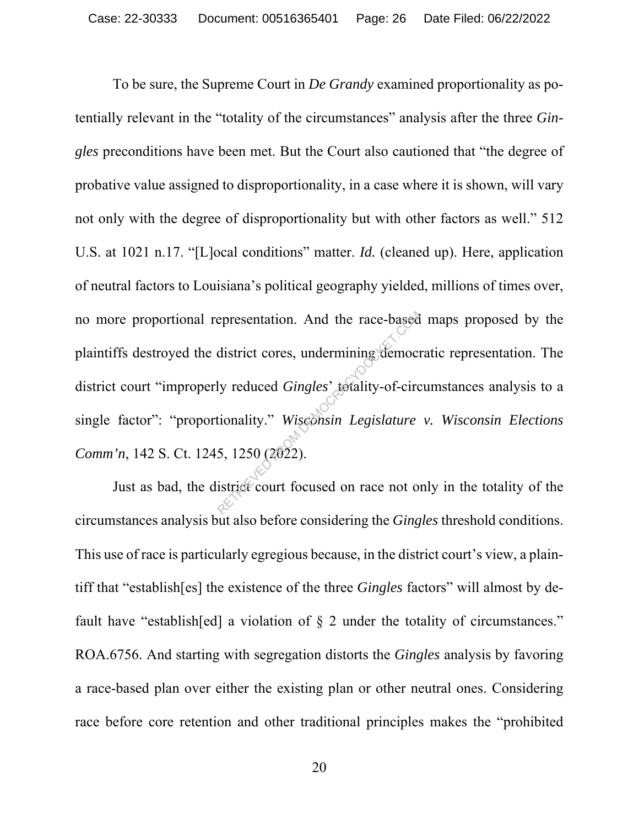To be sure, the Supreme Court in *De Grandy* examined proportionality as potentially relevant in the "totality of the circumstances" analysis after the three *Gingles* preconditions have been met. But the Court also cautioned that "the degree of probative value assigned to disproportionality, in a case where it is shown, will vary not only with the degree of disproportionality but with other factors as well." 512 U.S. at 1021 n.17. "[L]ocal conditions" matter. *Id.* (cleaned up). Here, application of neutral factors to Louisiana's political geography yielded, millions of times over, no more proportional representation. And the race-based maps proposed by the plaintiffs destroyed the district cores, undermining democratic representation. The district court "improperly reduced *Gingles*' totality-of-circumstances analysis to a single factor": "proportionality." *Wisconsin Legislature v. Wisconsin Elections*  Comm'n, 142 S. Ct. 1245, 1250 (2022). epresentation. And the race-based<br>district cores, undermining democration<br>ly reduced *Gingles'* totality-of-circ<br>tionality." Wisednsin Legislature<br>5, 1250 (2022).<br>istrict court focused on race not of

Just as bad, the district court focused on race not only in the totality of the circumstances analysis but also before considering the *Gingles* threshold conditions. This use of race is particularly egregious because, in the district court's view, a plaintiff that "establish[es] the existence of the three *Gingles* factors" will almost by default have "establish[ed] a violation of  $\S$  2 under the totality of circumstances." ROA.6756. And starting with segregation distorts the *Gingles* analysis by favoring a race-based plan over either the existing plan or other neutral ones. Considering race before core retention and other traditional principles makes the "prohibited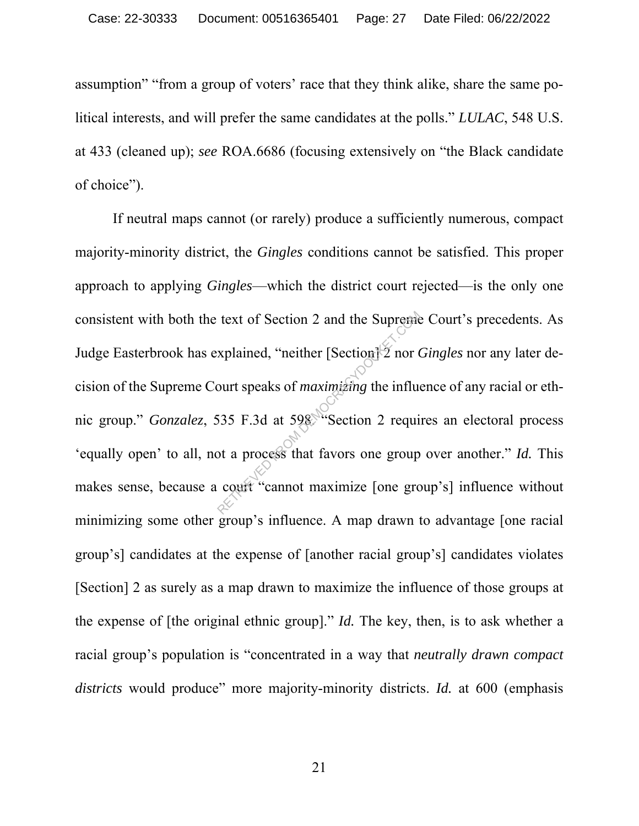assumption" "from a group of voters' race that they think alike, share the same political interests, and will prefer the same candidates at the polls." *LULAC*, 548 U.S. at 433 (cleaned up); *see* ROA.6686 (focusing extensively on "the Black candidate of choice").

If neutral maps cannot (or rarely) produce a sufficiently numerous, compact majority-minority district, the *Gingles* conditions cannot be satisfied. This proper approach to applying *Gingles*—which the district court rejected—is the only one consistent with both the text of Section 2 and the Supreme Court's precedents. As Judge Easterbrook has explained, "neither [Section] 2 nor *Gingles* nor any later decision of the Supreme Court speaks of *maximizing* the influence of any racial or ethnic group." *Gonzalez*, 535 F.3d at 598. "Section 2 requires an electoral process 'equally open' to all, not a process that favors one group over another." *Id.* This makes sense, because a court "cannot maximize [one group's] influence without minimizing some other group's influence. A map drawn to advantage [one racial group's] candidates at the expense of [another racial group's] candidates violates [Section] 2 as surely as a map drawn to maximize the influence of those groups at the expense of [the original ethnic group]." *Id.* The key, then, is to ask whether a racial group's population is "concentrated in a way that *neutrally drawn compact districts* would produce" more majority-minority districts. *Id.* at 600 (emphasis text of Section 2 and the Suprement<br>xplained, "neither [Section] 2 nor 0<br>ourt speaks of *maximizing* the influences<br>535 F.3d at 598 "Section 2 requined at a process that favors one group<br>court "cannot maximize [one group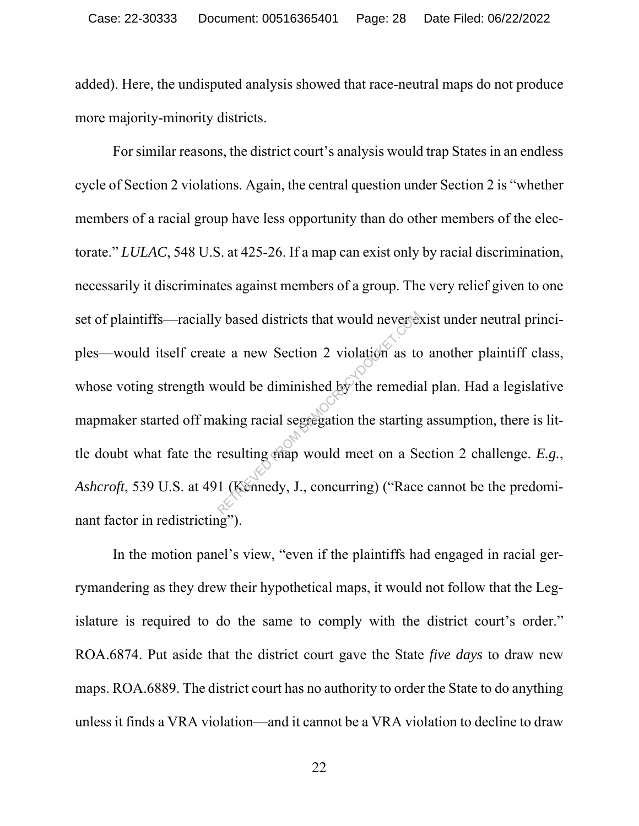added). Here, the undisputed analysis showed that race-neutral maps do not produce more majority-minority districts.

For similar reasons, the district court's analysis would trap States in an endless cycle of Section 2 violations. Again, the central question under Section 2 is "whether members of a racial group have less opportunity than do other members of the electorate." *LULAC*, 548 U.S. at 425-26. If a map can exist only by racial discrimination, necessarily it discriminates against members of a group. The very relief given to one set of plaintiffs—racially based districts that would never exist under neutral principles—would itself create a new Section 2 violation as to another plaintiff class, whose voting strength would be diminished by the remedial plan. Had a legislative mapmaker started off making racial segregation the starting assumption, there is little doubt what fate the resulting map would meet on a Section 2 challenge. *E.g.*, *Ashcroft*, 539 U.S. at 491 (Kennedy, J., concurring) ("Race cannot be the predominant factor in redistricting"). where a new Section 2 violation as to<br>travel as the diminished by the remedia<br>aking racial segregation the starting<br>resulting map would meet on a Se<br>1 (Kennedy, J., concurring) ("Race

In the motion panel's view, "even if the plaintiffs had engaged in racial gerrymandering as they drew their hypothetical maps, it would not follow that the Legislature is required to do the same to comply with the district court's order." ROA.6874. Put aside that the district court gave the State *five days* to draw new maps. ROA.6889. The district court has no authority to order the State to do anything unless it finds a VRA violation—and it cannot be a VRA violation to decline to draw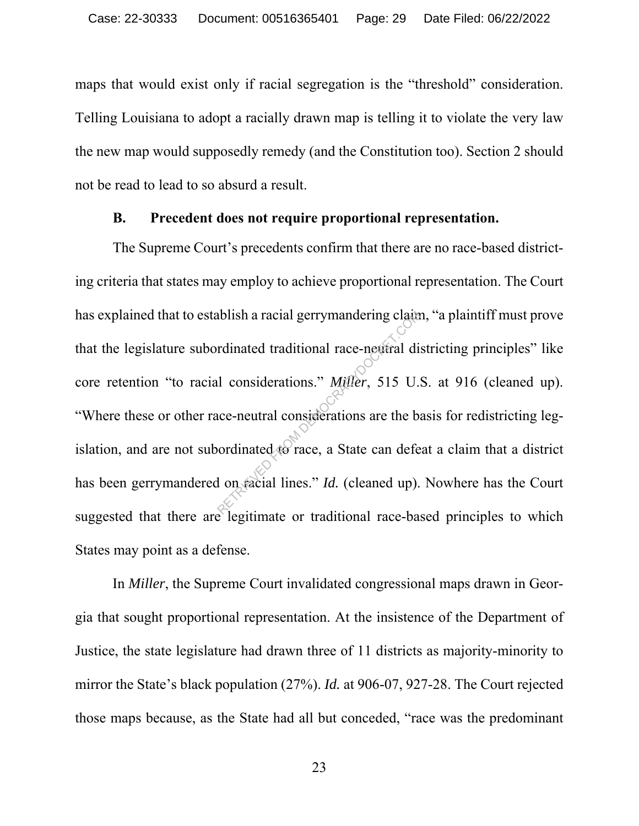maps that would exist only if racial segregation is the "threshold" consideration. Telling Louisiana to adopt a racially drawn map is telling it to violate the very law the new map would supposedly remedy (and the Constitution too). Section 2 should not be read to lead to so absurd a result.

#### **B. Precedent does not require proportional representation.**

The Supreme Court's precedents confirm that there are no race-based districting criteria that states may employ to achieve proportional representation. The Court has explained that to establish a racial gerrymandering claim, "a plaintiff must prove that the legislature subordinated traditional race-neutral districting principles" like core retention "to racial considerations." *Miller*, 515 U.S. at 916 (cleaned up). "Where these or other race-neutral considerations are the basis for redistricting legislation, and are not subordinated to race, a State can defeat a claim that a district has been gerrymandered on racial lines." *Id.* (cleaned up). Nowhere has the Court suggested that there are legitimate or traditional race-based principles to which States may point as a defense. Ablish a racial gerrymandering claim<br>
rdinated traditional race-neutral di<br>
l considerations." Miller, 515 U.<br>
ice-neutral considerations are the backet<br>
ordinated to race, a State can defe

In *Miller*, the Supreme Court invalidated congressional maps drawn in Georgia that sought proportional representation. At the insistence of the Department of Justice, the state legislature had drawn three of 11 districts as majority-minority to mirror the State's black population (27%). *Id.* at 906-07, 927-28. The Court rejected those maps because, as the State had all but conceded, "race was the predominant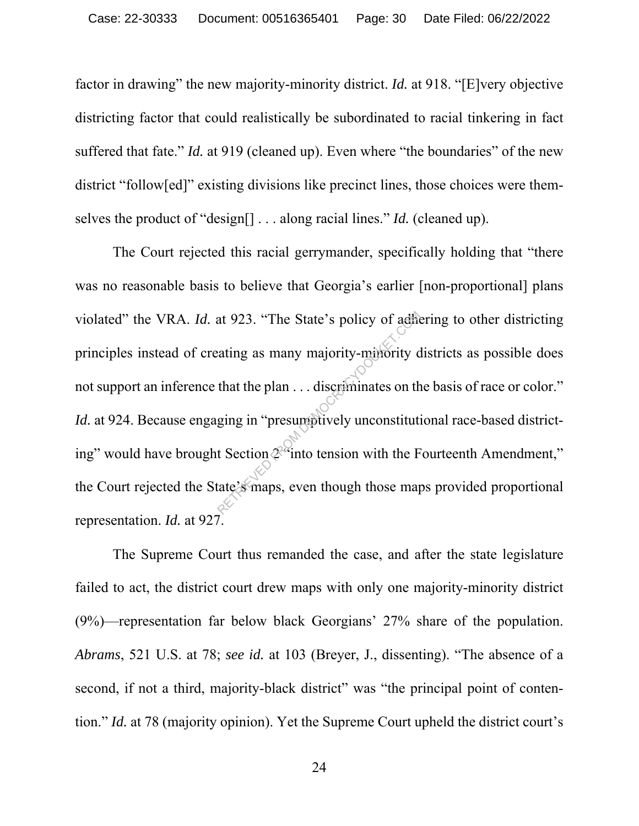factor in drawing" the new majority-minority district. *Id.* at 918. "[E]very objective districting factor that could realistically be subordinated to racial tinkering in fact suffered that fate." *Id.* at 919 (cleaned up). Even where "the boundaries" of the new district "follow[ed]" existing divisions like precinct lines, those choices were themselves the product of "design[] . . . along racial lines." *Id.* (cleaned up).

The Court rejected this racial gerrymander, specifically holding that "there was no reasonable basis to believe that Georgia's earlier [non-proportional] plans violated" the VRA. *Id.* at 923. "The State's policy of adhering to other districting principles instead of creating as many majority-minority districts as possible does not support an inference that the plan . . . discriminates on the basis of race or color." *Id.* at 924. Because engaging in "presumptively unconstitutional race-based districting" would have brought Section  $\mathcal{L}^{\mathcal{L}}$  into tension with the Fourteenth Amendment," the Court rejected the State's maps, even though those maps provided proportional representation. *Id.* at 927. at 923. "The State's policy of addite<br>
eating as many majority-minority c<br>
that the plan ... discriminates on the<br>
ging in "presumptively unconstituting<br>
t Section  $2^{\circ}$  into tension with the F<br>
tate's maps, even though

The Supreme Court thus remanded the case, and after the state legislature failed to act, the district court drew maps with only one majority-minority district (9%)—representation far below black Georgians' 27% share of the population. *Abrams*, 521 U.S. at 78; *see id.* at 103 (Breyer, J., dissenting). "The absence of a second, if not a third, majority-black district" was "the principal point of contention." *Id.* at 78 (majority opinion). Yet the Supreme Court upheld the district court's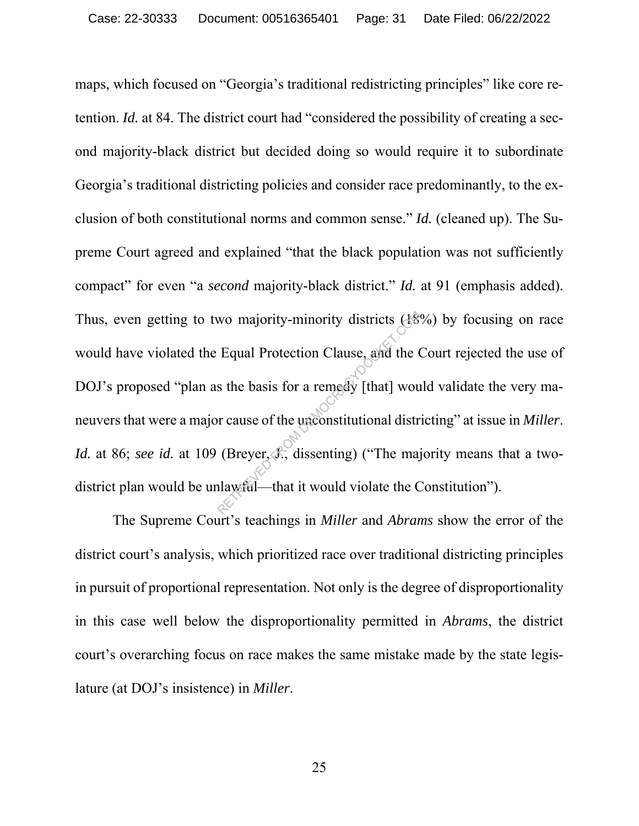maps, which focused on "Georgia's traditional redistricting principles" like core retention. *Id.* at 84. The district court had "considered the possibility of creating a second majority-black district but decided doing so would require it to subordinate Georgia's traditional districting policies and consider race predominantly, to the exclusion of both constitutional norms and common sense." *Id.* (cleaned up). The Supreme Court agreed and explained "that the black population was not sufficiently compact" for even "a *second* majority-black district." *Id.* at 91 (emphasis added). Thus, even getting to two majority-minority districts (18%) by focusing on race would have violated the Equal Protection Clause, and the Court rejected the use of DOJ's proposed "plan as the basis for a remedy [that] would validate the very maneuvers that were a major cause of the unconstitutional districting" at issue in *Miller*. *Id.* at 86; *see id.* at 109 (Breyer, *J.*, dissenting) ("The majority means that a twodistrict plan would be unlawful—that it would violate the Constitution"). wo majority-minority districts (A8<sup>8</sup>)<br>Equal Protection Clause, and the C<br>s the basis for a remearly [that] wou<br>or cause of the unconstitutional distr<br>(Breyer, *S*, dissenting) ("The majority and a strained state of the ma

The Supreme Court's teachings in *Miller* and *Abrams* show the error of the district court's analysis, which prioritized race over traditional districting principles in pursuit of proportional representation. Not only is the degree of disproportionality in this case well below the disproportionality permitted in *Abrams*, the district court's overarching focus on race makes the same mistake made by the state legislature (at DOJ's insistence) in *Miller*.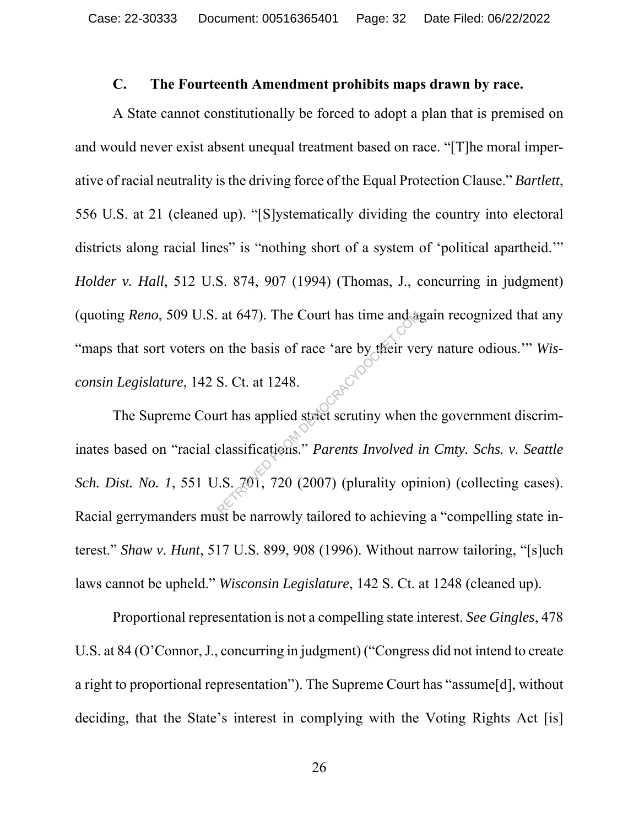#### **C. The Fourteenth Amendment prohibits maps drawn by race.**

A State cannot constitutionally be forced to adopt a plan that is premised on and would never exist absent unequal treatment based on race. "[T]he moral imperative of racial neutrality is the driving force of the Equal Protection Clause." *Bartlett*, 556 U.S. at 21 (cleaned up). "[S]ystematically dividing the country into electoral districts along racial lines" is "nothing short of a system of 'political apartheid." *Holder v. Hall*, 512 U.S. 874, 907 (1994) (Thomas, J., concurring in judgment) (quoting *Reno*, 509 U.S. at 647). The Court has time and again recognized that any "maps that sort voters on the basis of race 'are by their very nature odious."" *Wis-*<br>
consin Legislature, 142 S. Ct. at 1248. *consin Legislature*, 142 S. Ct. at 1248.

The Supreme Court has applied strict scrutiny when the government discriminates based on "racial classifications." *Parents Involved in Cmty. Schs. v. Seattle Sch. Dist. No. 1*, 551 U.S. 701, 720 (2007) (plurality opinion) (collecting cases). Racial gerrymanders must be narrowly tailored to achieving a "compelling state interest." *Shaw v. Hunt*, 517 U.S. 899, 908 (1996). Without narrow tailoring, "[s]uch laws cannot be upheld." *Wisconsin Legislature*, 142 S. Ct. at 1248 (cleaned up). at 647). The Court has time and a<br>
n the basis of race 'are by their ve<br>
S. Ct. at 1248.<br>
Intrinsications." *Parents Involved i*<br>
Elassifications." *Parents Involved i*<br>
S. 701, 720 (2007) (plurality opi

Proportional representation is not a compelling state interest. *See Gingles*, 478 U.S. at 84 (O'Connor, J., concurring in judgment) ("Congress did not intend to create a right to proportional representation"). The Supreme Court has "assume[d], without deciding, that the State's interest in complying with the Voting Rights Act [is]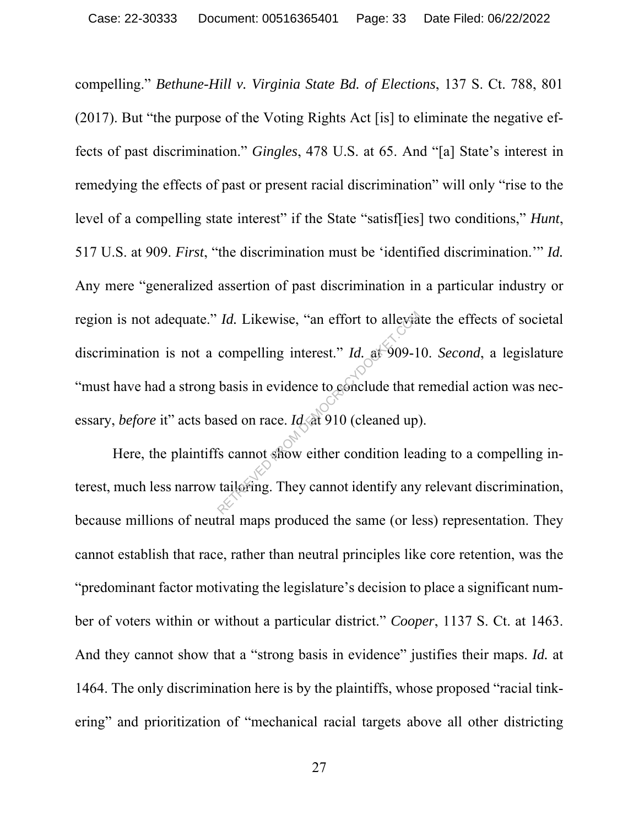compelling." *Bethune-Hill v. Virginia State Bd. of Elections*, 137 S. Ct. 788, 801 (2017). But "the purpose of the Voting Rights Act [is] to eliminate the negative effects of past discrimination." *Gingles*, 478 U.S. at 65. And "[a] State's interest in remedying the effects of past or present racial discrimination" will only "rise to the level of a compelling state interest" if the State "satisf[ies] two conditions," *Hunt*, 517 U.S. at 909. *First*, "the discrimination must be 'identified discrimination.'" *Id.*  Any mere "generalized assertion of past discrimination in a particular industry or region is not adequate." *Id.* Likewise, "an effort to alleviate the effects of societal discrimination is not a compelling interest." *Id.* at 909-10. *Second*, a legislature "must have had a strong basis in evidence to conclude that remedial action was necessary, *before* it" acts based on race. *Id.* at 910 (cleaned up). *Id.* Likewise, "an effort to allevia"<br>
compelling interest." *Id.* at 909-1<br>
basis in evidence to conclude that a<br>
sed on race. *Id.* at 910 (cleaned up)<br>
is cannot show either condition lea<br>
tailoring. They cannot ident

Here, the plaintiffs cannot show either condition leading to a compelling interest, much less narrow tailoring. They cannot identify any relevant discrimination, because millions of neutral maps produced the same (or less) representation. They cannot establish that race, rather than neutral principles like core retention, was the "predominant factor motivating the legislature's decision to place a significant number of voters within or without a particular district." *Cooper*, 1137 S. Ct. at 1463. And they cannot show that a "strong basis in evidence" justifies their maps. *Id.* at 1464. The only discrimination here is by the plaintiffs, whose proposed "racial tinkering" and prioritization of "mechanical racial targets above all other districting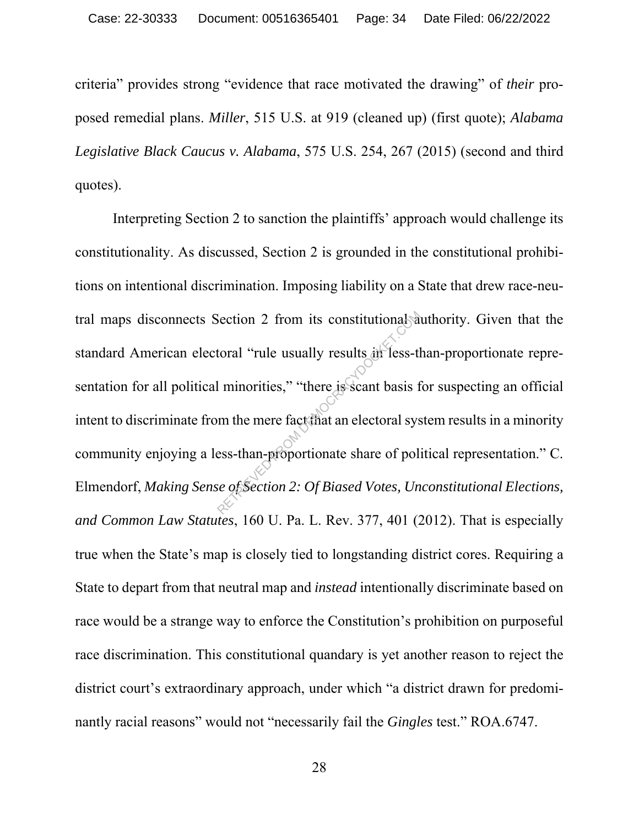criteria" provides strong "evidence that race motivated the drawing" of *their* proposed remedial plans. *Miller*, 515 U.S. at 919 (cleaned up) (first quote); *Alabama Legislative Black Caucus v. Alabama*, 575 U.S. 254, 267 (2015) (second and third quotes).

Interpreting Section 2 to sanction the plaintiffs' approach would challenge its constitutionality. As discussed, Section 2 is grounded in the constitutional prohibitions on intentional discrimination. Imposing liability on a State that drew race-neutral maps disconnects Section 2 from its constitutional authority. Given that the standard American electoral "rule usually results in less-than-proportionate representation for all political minorities," "there is scant basis for suspecting an official intent to discriminate from the mere fact that an electoral system results in a minority community enjoying a less-than-proportionate share of political representation." C. Elmendorf, *Making Sense of Section 2: Of Biased Votes, Unconstitutional Elections, and Common Law Statutes*, 160 U. Pa. L. Rev. 377, 401 (2012). That is especially true when the State's map is closely tied to longstanding district cores. Requiring a State to depart from that neutral map and *instead* intentionally discriminate based on race would be a strange way to enforce the Constitution's prohibition on purposeful race discrimination. This constitutional quandary is yet another reason to reject the district court's extraordinary approach, under which "a district drawn for predominantly racial reasons" would not "necessarily fail the *Gingles* test." ROA.6747. Section 2 from its constitutional at<br>toral "rule usually results in less-therm intorities," "there is scant basis form the mere fact that an electoral systems.<br>Example that an electoral systems where the mere of policides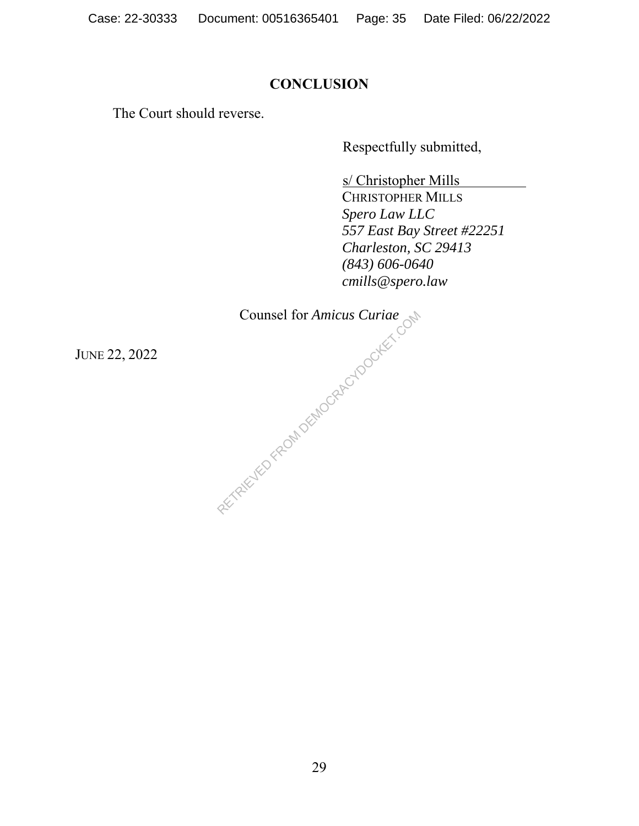## **CONCLUSION**

The Court should reverse.

Respectfully submitted,

s/ Christopher Mills

 CHRISTOPHER MILLS  *Spero Law LLC 557 East Bay Street #22251 Charleston, SC 29413 (843) 606-0640 cmills@spero.law* 

Counsel for Amicus Curiae<br>Counsel for Amicus Curiae<br>RETRIEVED FROM DEMOCRACYDOCKET.COM

JUNE 22, 2022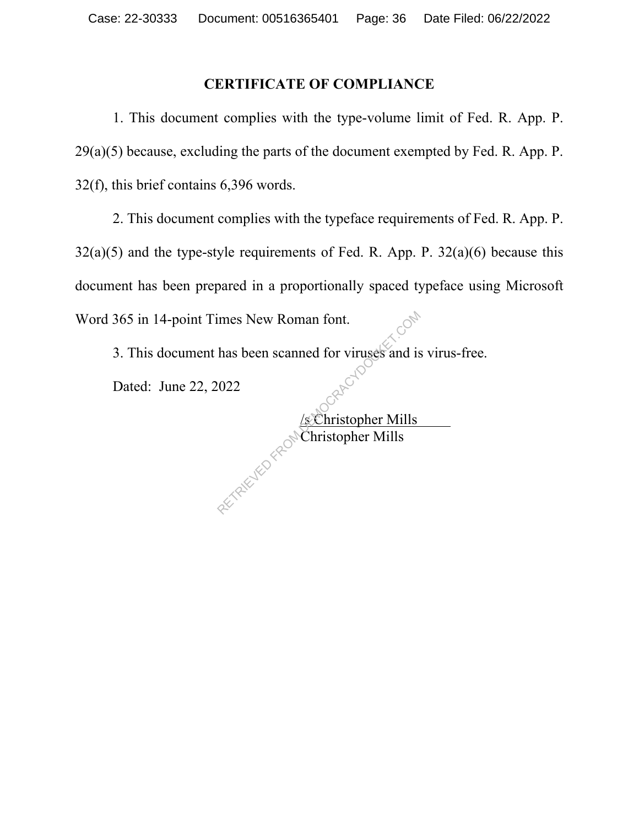### **CERTIFICATE OF COMPLIANCE**

1. This document complies with the type-volume limit of Fed. R. App. P.  $29(a)(5)$  because, excluding the parts of the document exempted by Fed. R. App. P. 32(f), this brief contains 6,396 words.

2. This document complies with the typeface requirements of Fed. R. App. P.  $32(a)(5)$  and the type-style requirements of Fed. R. App. P.  $32(a)(6)$  because this document has been prepared in a proportionally spaced typeface using Microsoft Word 365 in 14-point Times New Roman font.

3. This document has been scanned for viruses and is virus-free.

Dated: June 22, 2022

 /s Christopher Mills **Christopher Mills** RETRIEVED FROM DEMOCRACYDOCKET.COM